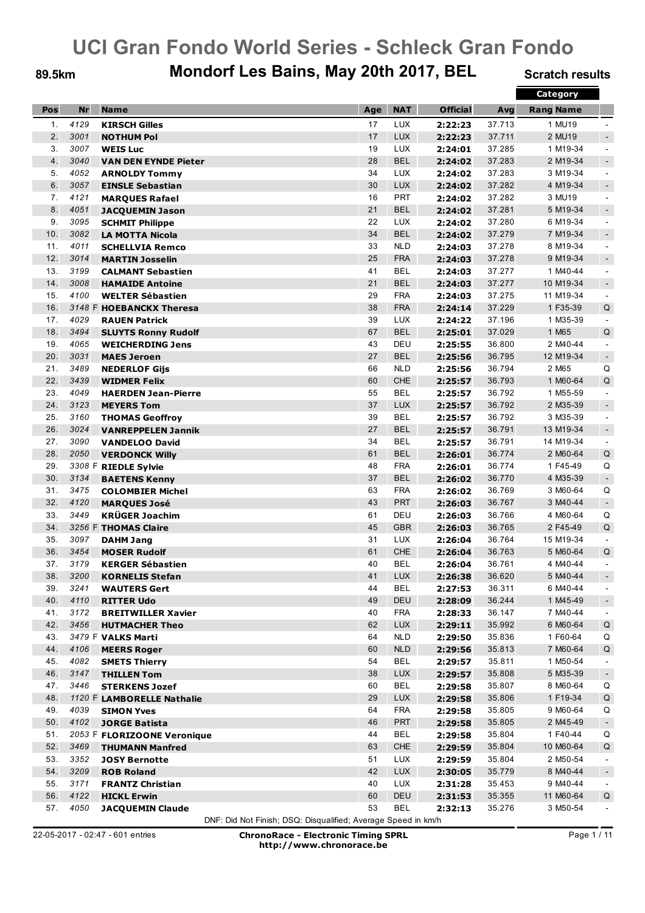### 89.5km Mondorf Les Bains, May 20th 2017, BEL Scratch results

|     |           |                             |     |            |                 |        | Category         |                          |
|-----|-----------|-----------------------------|-----|------------|-----------------|--------|------------------|--------------------------|
| Pos | <b>Nr</b> | <b>Name</b>                 | Age | <b>NAT</b> | <b>Official</b> | Avg    | <b>Rang Name</b> |                          |
| 1.  | 4129      | <b>KIRSCH Gilles</b>        | 17  | <b>LUX</b> | 2:22:23         | 37.713 | 1 MU19           | $\overline{\phantom{a}}$ |
| 2.  | 3001      | <b>NOTHUM Pol</b>           | 17  | <b>LUX</b> | 2:22:23         | 37.711 | 2 MU19           | $\sim$                   |
| 3.  | 3007      | <b>WEIS Luc</b>             | 19  | <b>LUX</b> | 2:24:01         | 37.285 | 1 M19-34         | $\blacksquare$           |
| 4.  | 3040      | <b>VAN DEN EYNDE Pieter</b> | 28  | <b>BEL</b> | 2:24:02         | 37.283 | 2 M19-34         | $\sim$                   |
| 5.  | 4052      | <b>ARNOLDY Tommy</b>        | 34  | <b>LUX</b> | 2:24:02         | 37.283 | 3 M19-34         | $\blacksquare$           |
| 6.  | 3057      | <b>EINSLE Sebastian</b>     | 30  | <b>LUX</b> | 2:24:02         | 37.282 | 4 M19-34         | $\sim$                   |
| 7.  | 4121      | <b>MARQUES Rafael</b>       | 16  | <b>PRT</b> | 2:24:02         | 37.282 | 3 MU19           | $\blacksquare$           |
| 8.  | 4051      | <b>JACQUEMIN Jason</b>      | 21  | <b>BEL</b> | 2:24:02         | 37.281 | 5 M19-34         | $\overline{\phantom{a}}$ |
| 9.  | 3095      | <b>SCHMIT Philippe</b>      | 22  | <b>LUX</b> | 2:24:02         | 37.280 | 6 M19-34         | $\blacksquare$           |
| 10. | 3082      | <b>LA MOTTA Nicola</b>      | 34  | <b>BEL</b> | 2:24:02         | 37.279 | 7 M19-34         | $\sim$                   |
| 11. | 4011      | <b>SCHELLVIA Remco</b>      | 33  | <b>NLD</b> | 2:24:03         | 37.278 | 8 M19-34         | $\blacksquare$           |
| 12. | 3014      | <b>MARTIN Josselin</b>      | 25  | <b>FRA</b> | 2:24:03         | 37.278 | 9 M19-34         | $\sim$                   |
| 13. | 3199      | <b>CALMANT Sebastien</b>    | 41  | <b>BEL</b> | 2:24:03         | 37.277 | 1 M40-44         | $\blacksquare$           |
| 14. | 3008      | <b>HAMAIDE Antoine</b>      | 21  | <b>BEL</b> | 2:24:03         | 37.277 | 10 M19-34        | $\sim$                   |
| 15. | 4100      | <b>WELTER Sébastien</b>     | 29  | <b>FRA</b> | 2:24:03         | 37.275 | 11 M19-34        | $\sim$                   |
| 16. |           | 3148 F HOEBANCKX Theresa    | 38  | <b>FRA</b> | 2:24:14         | 37.229 | 1 F35-39         | Q                        |
| 17. | 4029      | <b>RAUEN Patrick</b>        | 39  | <b>LUX</b> | 2:24:22         | 37.196 | 1 M35-39         | $\blacksquare$           |
| 18. | 3494      | <b>SLUYTS Ronny Rudolf</b>  | 67  | <b>BEL</b> | 2:25:01         | 37.029 | 1 M65            | Q                        |
| 19. | 4065      | <b>WEICHERDING Jens</b>     | 43  | DEU        | 2:25:55         | 36.800 | 2 M40-44         | $\blacksquare$           |
| 20. | 3031      | <b>MAES Jeroen</b>          | 27  | <b>BEL</b> | 2:25:56         | 36.795 | 12 M19-34        | $\sim$                   |
| 21. | 3489      | <b>NEDERLOF Gijs</b>        | 66  | <b>NLD</b> | 2:25:56         | 36.794 | 2 M65            | Q                        |
| 22. | 3439      | <b>WIDMER Felix</b>         | 60  | <b>CHE</b> | 2:25:57         | 36.793 | 1 M60-64         | Q                        |
| 23. | 4049      | <b>HAERDEN Jean-Pierre</b>  | 55  | <b>BEL</b> | 2:25:57         | 36.792 | 1 M55-59         | $\blacksquare$           |
| 24. | 3123      | <b>MEYERS Tom</b>           | 37  | <b>LUX</b> | 2:25:57         | 36.792 | 2 M35-39         | $\blacksquare$           |
| 25. | 3160      | <b>THOMAS Geoffroy</b>      | 39  | <b>BEL</b> | 2:25:57         | 36.792 | 3 M35-39         | $\blacksquare$           |
| 26. | 3024      | <b>VANREPPELEN Jannik</b>   | 27  | <b>BEL</b> | 2:25:57         | 36.791 | 13 M19-34        | $\sim$                   |
| 27. | 3090      | <b>VANDELOO David</b>       | 34  | <b>BEL</b> | 2:25:57         | 36.791 | 14 M19-34        | $\blacksquare$           |
| 28. | 2050      | <b>VERDONCK Willy</b>       | 61  | <b>BEL</b> | 2:26:01         | 36.774 | 2 M60-64         | Q                        |
| 29. |           | 3308 F RIEDLE Sylvie        | 48  | <b>FRA</b> | 2:26:01         | 36.774 | 1 F45-49         | Q                        |
| 30. | 3134      | <b>BAETENS Kenny</b>        | 37  | <b>BEL</b> | 2:26:02         | 36.770 | 4 M35-39         | $\overline{\phantom{a}}$ |
| 31. | 3475      | <b>COLOMBIER Michel</b>     | 63  | <b>FRA</b> | 2:26:02         | 36.769 | 3 M60-64         | Q                        |
| 32. | 4120      | <b>MARQUES José</b>         | 43  | <b>PRT</b> | 2:26:03         | 36.767 | 3 M40-44         | $\blacksquare$           |
| 33. | 3449      | <b>KRÜGER Joachim</b>       | 61  | DEU        | 2:26:03         | 36.766 | 4 M60-64         | Q                        |
| 34. |           | 3256 F THOMAS Claire        | 45  | <b>GBR</b> | 2:26:03         | 36.765 | 2F45-49          | Q                        |
| 35. | 3097      | <b>DAHM Jang</b>            | 31  | <b>LUX</b> | 2:26:04         | 36.764 | 15 M19-34        | $\blacksquare$           |
| 36. | 3454      | <b>MOSER Rudolf</b>         | 61  | <b>CHE</b> | 2:26:04         | 36.763 | 5 M60-64         | Q                        |
| 37. | 3179      | <b>KERGER Sébastien</b>     | 40  | <b>BEL</b> | 2:26:04         | 36.761 | 4 M40-44         | $\blacksquare$           |
| 38. | 3200      | <b>KORNELIS Stefan</b>      | 41  | <b>LUX</b> | 2:26:38         | 36.620 | 5 M40-44         | $\sim$                   |
| 39. | 3241      | <b>WAUTERS Gert</b>         | 44  | BEL        | 2:27:53         | 36.311 | 6 M40-44         | $\sim$                   |
| 40. | 4110      | <b>RITTER Udo</b>           | 49  | <b>DEU</b> | 2:28:09         | 36.244 | 1 M45-49         | $\blacksquare$           |
| 41. | 3172      | <b>BREITWILLER Xavier</b>   | 40  | <b>FRA</b> | 2:28:33         | 36.147 | 7 M40-44         | $\sim$                   |
| 42. | 3456      | <b>HUTMACHER Theo</b>       | 62  | <b>LUX</b> | 2:29:11         | 35.992 | 6 M60-64         | $\sf Q$                  |
| 43. |           | 3479 F VALKS Marti          | 64  | <b>NLD</b> | 2:29:50         | 35.836 | 1 F60-64         | Q                        |
| 44. | 4106      | <b>MEERS Roger</b>          | 60  | <b>NLD</b> | 2:29:56         | 35.813 | 7 M60-64         | Q                        |
| 45. | 4082      | <b>SMETS Thierry</b>        | 54  | <b>BEL</b> | 2:29:57         | 35.811 | 1 M50-54         | $\blacksquare$           |
| 46. | 3147      | <b>THILLEN Tom</b>          | 38  | <b>LUX</b> | 2:29:57         | 35.808 | 5 M35-39         | $\blacksquare$           |
| 47. | 3446      | <b>STERKENS Jozef</b>       | 60  | <b>BEL</b> | 2:29:58         | 35.807 | 8 M60-64         | Q                        |
| 48. |           | 1120 F LAMBORELLE Nathalie  | 29  | <b>LUX</b> | 2:29:58         | 35.806 | 1 F19-34         | Q                        |
| 49. | 4039      | <b>SIMON Yves</b>           | 64  | <b>FRA</b> | 2:29:58         | 35.805 | 9 M60-64         | Q                        |
| 50. | 4102      | <b>JORGE Batista</b>        | 46  | <b>PRT</b> | 2:29:58         | 35.805 | 2 M45-49         | $\blacksquare$           |
| 51. |           | 2053 F FLORIZOONE Veronique | 44  | <b>BEL</b> | 2:29:58         | 35.804 | 1 F40-44         | Q                        |
| 52. | 3469      | <b>THUMANN Manfred</b>      | 63  | CHE        | 2:29:59         | 35.804 | 10 M60-64        | Q                        |
| 53. | 3352      | <b>JOSY Bernotte</b>        | 51  | <b>LUX</b> | 2:29:59         | 35.804 | 2 M50-54         | $\blacksquare$           |
| 54. | 3209      | <b>ROB Roland</b>           | 42  | <b>LUX</b> | 2:30:05         | 35.779 | 8 M40-44         | $\blacksquare$           |
| 55. | 3171      | <b>FRANTZ Christian</b>     | 40  | LUX        | 2:31:28         | 35.453 | 9 M40-44         | $\blacksquare$           |
| 56. | 4122      | <b>HICKL Erwin</b>          | 60  | DEU        | 2:31:53         | 35.355 | 11 M60-64        | Q                        |
| 57. | 4050      | <b>JACQUEMIN Claude</b>     | 53  | <b>BEL</b> | 2:32:13         | 35.276 | 3 M50-54         | $\blacksquare$           |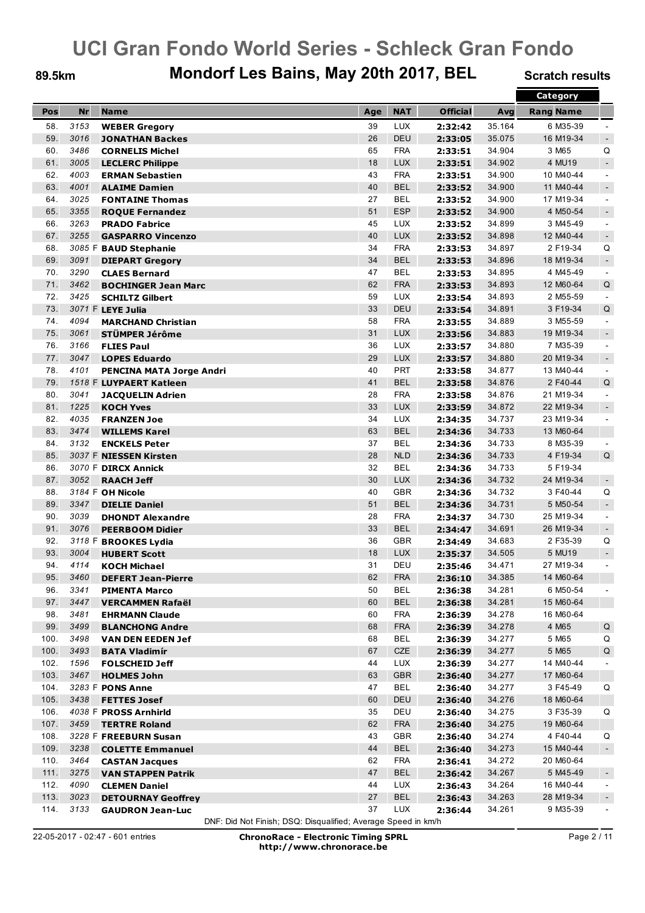### 89.5km Mondorf Les Bains, May 20th 2017, BEL Scratch results

|      |           |                                 |     |            |                 |        | Category         |                |
|------|-----------|---------------------------------|-----|------------|-----------------|--------|------------------|----------------|
| Pos  | <b>Nr</b> | <b>Name</b>                     | Age | <b>NAT</b> | <b>Official</b> | Avg    | <b>Rang Name</b> |                |
| 58.  | 3153      | <b>WEBER Gregory</b>            | 39  | <b>LUX</b> | 2:32:42         | 35.164 | 6 M35-39         |                |
| 59.  | 3016      | <b>JONATHAN Backes</b>          | 26  | DEU        | 2:33:05         | 35.075 | 16 M19-34        | $\blacksquare$ |
| 60.  | 3486      | <b>CORNELIS Michel</b>          | 65  | <b>FRA</b> | 2:33:51         | 34.904 | 3 M65            | Q              |
| 61.  | 3005      | <b>LECLERC Philippe</b>         | 18  | <b>LUX</b> | 2:33:51         | 34.902 | 4 MU19           | $\blacksquare$ |
| 62.  | 4003      | <b>ERMAN Sebastien</b>          | 43  | <b>FRA</b> | 2:33:51         | 34.900 | 10 M40-44        | $\blacksquare$ |
| 63.  | 4001      | <b>ALAIME Damien</b>            | 40  | <b>BEL</b> | 2:33:52         | 34.900 | 11 M40-44        | $\sim$         |
| 64.  | 3025      | <b>FONTAINE Thomas</b>          | 27  | <b>BEL</b> | 2:33:52         | 34.900 | 17 M19-34        | $\blacksquare$ |
| 65.  | 3355      | <b>ROQUE Fernandez</b>          | 51  | <b>ESP</b> | 2:33:52         | 34.900 | 4 M50-54         | $\blacksquare$ |
| 66.  | 3263      | <b>PRADO Fabrice</b>            | 45  | LUX        | 2:33:52         | 34.899 | 3 M45-49         | $\blacksquare$ |
| 67.  | 3255      | <b>GASPARRO Vincenzo</b>        | 40  | <b>LUX</b> | 2:33:52         | 34.898 | 12 M40-44        | $\blacksquare$ |
| 68.  |           | 3085 F BAUD Stephanie           | 34  | <b>FRA</b> | 2:33:53         | 34.897 | 2 F19-34         | Q              |
| 69.  | 3091      | <b>DIEPART Gregory</b>          | 34  | <b>BEL</b> | 2:33:53         | 34.896 | 18 M19-34        | $\blacksquare$ |
| 70.  | 3290      | <b>CLAES Bernard</b>            | 47  | <b>BEL</b> | 2:33:53         | 34.895 | 4 M45-49         | $\blacksquare$ |
| 71.  | 3462      | <b>BOCHINGER Jean Marc</b>      | 62  | <b>FRA</b> | 2:33:53         | 34.893 | 12 M60-64        | Q              |
| 72.  | 3425      | <b>SCHILTZ Gilbert</b>          | 59  | <b>LUX</b> | 2:33:54         | 34.893 | 2 M55-59         | $\sim$         |
| 73.  |           | 3071 F LEYE Julia               | 33  | <b>DEU</b> | 2:33:54         | 34.891 | 3 F19-34         | Q              |
| 74.  | 4094      | <b>MARCHAND Christian</b>       | 58  | <b>FRA</b> | 2:33:55         | 34.889 | 3 M55-59         | $\blacksquare$ |
| 75.  | 3061      | STÜMPER Jérôme                  | 31  | <b>LUX</b> | 2:33:56         | 34.883 | 19 M19-34        | $\sim$         |
| 76.  | 3166      | <b>FLIES Paul</b>               | 36  | <b>LUX</b> | 2:33:57         | 34.880 | 7 M35-39         | $\blacksquare$ |
| 77.  | 3047      | <b>LOPES Eduardo</b>            | 29  | <b>LUX</b> | 2:33:57         | 34.880 | 20 M19-34        | $\sim$         |
| 78.  | 4101      | <b>PENCINA MATA Jorge Andri</b> | 40  | <b>PRT</b> | 2:33:58         | 34.877 | 13 M40-44        | $\blacksquare$ |
| 79.  |           | 1518 F LUYPAERT Katleen         | 41  | <b>BEL</b> | 2:33:58         | 34.876 | 2 F40-44         | Q              |
| 80.  | 3041      | <b>JACQUELIN Adrien</b>         | 28  | <b>FRA</b> | 2:33:58         | 34.876 | 21 M19-34        | $\blacksquare$ |
| 81.  | 1225      | <b>KOCH Yves</b>                | 33  | <b>LUX</b> | 2:33:59         | 34.872 | 22 M19-34        | $\blacksquare$ |
| 82.  | 4035      | <b>FRANZEN Joe</b>              | 34  | LUX        | 2:34:35         | 34.737 | 23 M19-34        | $\blacksquare$ |
| 83.  | 3474      | <b>WILLEMS Karel</b>            | 63  | <b>BEL</b> | 2:34:36         | 34.733 | 13 M60-64        |                |
| 84.  | 3132      | <b>ENCKELS Peter</b>            | 37  | <b>BEL</b> | 2:34:36         | 34.733 | 8 M35-39         | $\blacksquare$ |
| 85.  |           | 3037 F NIESSEN Kirsten          | 28  | <b>NLD</b> | 2:34:36         | 34.733 | 4 F19-34         | Q              |
| 86.  |           | 3070 F DIRCX Annick             | 32  | <b>BEL</b> | 2:34:36         | 34.733 | 5 F19-34         |                |
| 87.  | 3052      | <b>RAACH Jeff</b>               | 30  | <b>LUX</b> | 2:34:36         | 34.732 | 24 M19-34        | $\blacksquare$ |
| 88.  |           | 3184 F OH Nicole                | 40  | <b>GBR</b> | 2:34:36         | 34.732 | 3 F40-44         | Q              |
| 89.  | 3347      | <b>DIELIE Daniel</b>            | 51  | <b>BEL</b> | 2:34:36         | 34.731 | 5 M50-54         | $\blacksquare$ |
| 90.  | 3039      | <b>DHONDT Alexandre</b>         | 28  | <b>FRA</b> | 2:34:37         | 34.730 | 25 M19-34        | $\blacksquare$ |
| 91.  | 3076      | <b>PEERBOOM Didier</b>          | 33  | <b>BEL</b> | 2:34:47         | 34.691 | 26 M19-34        | $\blacksquare$ |
| 92.  |           | 3118 F BROOKES Lydia            | 36  | <b>GBR</b> | 2:34:49         | 34.683 | 2 F35-39         | Q              |
| 93.  | 3004      | <b>HUBERT Scott</b>             | 18  | <b>LUX</b> | 2:35:37         | 34.505 | 5 MU19           | $\blacksquare$ |
| 94.  | 4114      | <b>KOCH Michael</b>             | 31  | DEU        | 2:35:46         | 34.471 | 27 M19-34        | $\blacksquare$ |
| 95   | 3460      | <b>DEFERT Jean-Pierre</b>       | 62  | <b>FRA</b> | 2:36:10         | 34.385 | 14 M60-64        |                |
| 96.  | 3341      | <b>PIMENTA Marco</b>            | 50  | BEL        | 2:36:38         | 34.281 | 6 M50-54         | $\blacksquare$ |
| 97.  | 3447      | <b>VERCAMMEN Rafaël</b>         | 60  | <b>BEL</b> | 2:36:38         | 34.281 | 15 M60-64        |                |
| 98.  | 3481      | <b>EHRMANN Claude</b>           | 60  | <b>FRA</b> | 2:36:39         | 34.278 | 16 M60-64        |                |
| 99.  | 3499      | <b>BLANCHONG Andre</b>          | 68  | <b>FRA</b> | 2:36:39         | 34.278 | 4 M65            | Q              |
| 100. | 3498      | <b>VAN DEN EEDEN Jef</b>        | 68  | <b>BEL</b> | 2:36:39         | 34.277 | 5 M65            | Q              |
| 100. | 3493      | <b>BATA Vladimír</b>            | 67  | CZE        | 2:36:39         | 34.277 | 5 M65            | Q              |
| 102. | 1596      | <b>FOLSCHEID Jeff</b>           | 44  | LUX        | 2:36:39         | 34.277 | 14 M40-44        | $\blacksquare$ |
| 103. | 3467      | <b>HOLMES John</b>              | 63  | <b>GBR</b> | 2:36:40         | 34.277 | 17 M60-64        |                |
| 104. |           | 3283 F PONS Anne                | 47  | BEL        | 2:36:40         | 34.277 | 3 F45-49         | Q              |
| 105. | 3438      | <b>FETTES Josef</b>             | 60  | DEU        | 2:36:40         | 34.276 | 18 M60-64        |                |
| 106. |           | 4038 F PROSS Arnhirld           | 35  | DEU        | 2:36:40         | 34.275 | 3 F35-39         | Q              |
| 107. | 3459      | <b>TERTRE Roland</b>            | 62  | <b>FRA</b> | 2:36:40         | 34.275 | 19 M60-64        |                |
| 108. |           | 3228 F FREEBURN Susan           | 43  | GBR        | 2:36:40         | 34.274 | 4 F40-44         | Q              |
| 109. | 3238      | <b>COLETTE Emmanuel</b>         | 44  | <b>BEL</b> | 2:36:40         | 34.273 | 15 M40-44        | $\blacksquare$ |
| 110. | 3464      | <b>CASTAN Jacques</b>           | 62  | <b>FRA</b> | 2:36:41         | 34.272 | 20 M60-64        |                |
| 111. | 3275      | <b>VAN STAPPEN Patrik</b>       | 47  | <b>BEL</b> | 2:36:42         | 34.267 | 5 M45-49         | $\blacksquare$ |
| 112. | 4090      | <b>CLEMEN Daniel</b>            | 44  | <b>LUX</b> | 2:36:43         | 34.264 | 16 M40-44        | $\sim$         |
| 113. | 3023      | <b>DETOURNAY Geoffrey</b>       | 27  | <b>BEL</b> | 2:36:43         | 34.263 | 28 M19-34        | $\blacksquare$ |
| 114. | 3133      | <b>GAUDRON Jean-Luc</b>         | 37  | <b>LUX</b> | 2:36:44         | 34.261 | 9 M35-39         | $\blacksquare$ |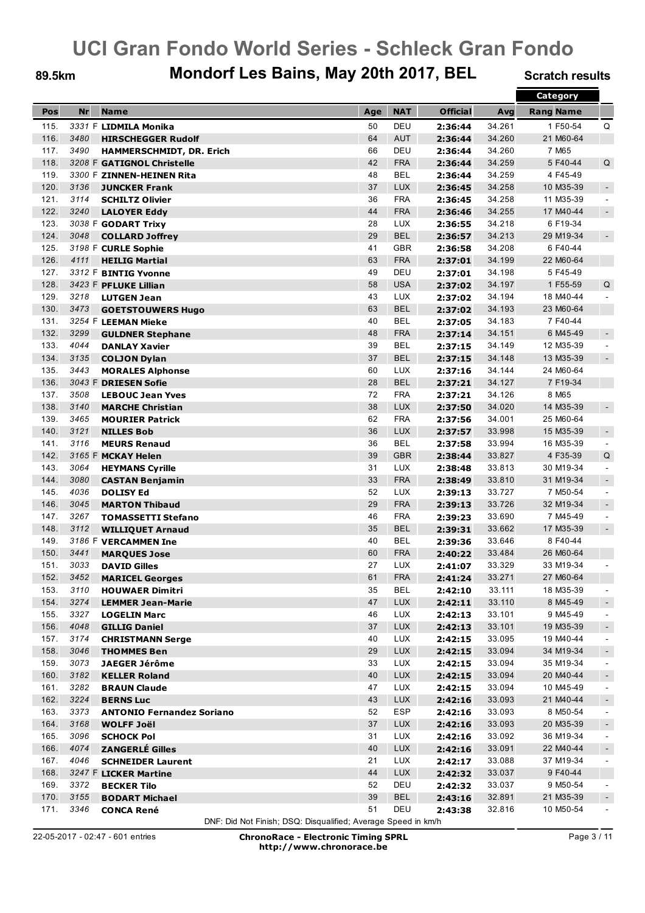### 89.5km Mondorf Les Bains, May 20th 2017, BEL Scratch results

|      |           |                                  |     |            |                 |        | Category         |                |
|------|-----------|----------------------------------|-----|------------|-----------------|--------|------------------|----------------|
| Pos  | <b>Nr</b> | <b>Name</b>                      | Age | <b>NAT</b> | <b>Official</b> | Avg    | <b>Rang Name</b> |                |
| 115. |           | 3331 F LIDMILA Monika            | 50  | DEU        | 2:36:44         | 34.261 | 1 F50-54         | Q              |
| 116. | 3480      | <b>HIRSCHEGGER Rudolf</b>        | 64  | <b>AUT</b> | 2:36:44         | 34.260 | 21 M60-64        |                |
| 117. | 3490      | HAMMERSCHMIDT, DR. Erich         | 66  | DEU        | 2:36:44         | 34.260 | 7 M65            |                |
| 118. |           | 3208 F GATIGNOL Christelle       | 42  | <b>FRA</b> | 2:36:44         | 34.259 | 5 F40-44         | Q              |
| 119. |           | 3300 F ZINNEN-HEINEN Rita        | 48  | <b>BEL</b> | 2:36:44         | 34.259 | 4 F45-49         |                |
| 120. | 3136      | <b>JUNCKER Frank</b>             | 37  | <b>LUX</b> | 2:36:45         | 34.258 | 10 M35-39        | $\sim$         |
| 121. | 3114      | <b>SCHILTZ Olivier</b>           | 36  | <b>FRA</b> | 2:36:45         | 34.258 | 11 M35-39        | $\blacksquare$ |
| 122. | 3240      | <b>LALOYER Eddy</b>              | 44  | <b>FRA</b> | 2:36:46         | 34.255 | 17 M40-44        | $\blacksquare$ |
| 123. |           | 3038 F GODART Trixy              | 28  | <b>LUX</b> | 2:36:55         | 34.218 | 6 F19-34         |                |
| 124. | 3048      | <b>COLLARD Joffrey</b>           | 29  | <b>BEL</b> | 2:36:57         | 34.213 | 29 M19-34        | $\sim$         |
| 125. |           | 3198 F CURLE Sophie              | 41  | <b>GBR</b> | 2:36:58         | 34.208 | 6 F40-44         |                |
| 126. | 4111      | <b>HEILIG Martial</b>            | 63  | <b>FRA</b> | 2:37:01         | 34.199 | 22 M60-64        |                |
| 127. |           | 3312 F BINTIG Yvonne             | 49  | DEU        | 2:37:01         | 34.198 | 5F45-49          |                |
| 128. |           | 3423 F PFLUKE Lillian            | 58  | <b>USA</b> | 2:37:02         | 34.197 | 1 F55-59         | Q              |
| 129. | 3218      | <b>LUTGEN Jean</b>               | 43  | <b>LUX</b> | 2:37:02         | 34.194 | 18 M40-44        | $\sim$         |
| 130. | 3473      | <b>GOETSTOUWERS Hugo</b>         | 63  | <b>BEL</b> | 2:37:02         | 34.193 | 23 M60-64        |                |
| 131. |           | 3254 F LEEMAN Mieke              | 40  | <b>BEL</b> | 2:37:05         | 34.183 | 7 F40-44         |                |
| 132. | 3299      | <b>GULDNER Stephane</b>          | 48  | <b>FRA</b> | 2:37:14         | 34.151 | 6 M45-49         | $\blacksquare$ |
| 133. | 4044      | <b>DANLAY Xavier</b>             | 39  | <b>BEL</b> | 2:37:15         | 34.149 | 12 M35-39        | $\sim$         |
| 134. | 3135      | <b>COLJON Dylan</b>              | 37  | <b>BEL</b> | 2:37:15         | 34.148 | 13 M35-39        | $\sim$         |
| 135. | 3443      | <b>MORALES Alphonse</b>          | 60  | <b>LUX</b> | 2:37:16         | 34.144 | 24 M60-64        |                |
| 136. |           | 3043 F DRIESEN Sofie             | 28  | <b>BEL</b> | 2:37:21         | 34.127 | 7 F19-34         |                |
| 137. | 3508      | <b>LEBOUC Jean Yves</b>          | 72  | <b>FRA</b> | 2:37:21         | 34.126 | 8 M65            |                |
| 138. | 3140      | <b>MARCHE Christian</b>          | 38  | <b>LUX</b> | 2:37:50         | 34.020 | 14 M35-39        | $\sim$         |
| 139. | 3465      | <b>MOURIER Patrick</b>           | 62  | <b>FRA</b> | 2:37:56         | 34.001 | 25 M60-64        |                |
| 140. | 3121      | <b>NILLES Bob</b>                | 36  | <b>LUX</b> | 2:37:57         | 33.998 | 15 M35-39        | $\sim$         |
| 141. | 3116      | <b>MEURS Renaud</b>              | 36  | <b>BEL</b> | 2:37:58         | 33.994 | 16 M35-39        | $\sim$         |
| 142. |           | 3165 F MCKAY Helen               | 39  | <b>GBR</b> | 2:38:44         | 33.827 | 4 F35-39         | Q              |
| 143. | 3064      | <b>HEYMANS Cyrille</b>           | 31  | <b>LUX</b> | 2:38:48         | 33.813 | 30 M19-34        | $\blacksquare$ |
| 144. | 3080      | <b>CASTAN Benjamin</b>           | 33  | <b>FRA</b> | 2:38:49         | 33.810 | 31 M19-34        | $\sim$         |
| 145. | 4036      | <b>DOLISY Ed</b>                 | 52  | <b>LUX</b> | 2:39:13         | 33.727 | 7 M50-54         | $\sim$         |
| 146. | 3045      | <b>MARTON Thibaud</b>            | 29  | <b>FRA</b> | 2:39:13         | 33.726 | 32 M19-34        |                |
| 147. | 3267      | <b>TOMASSETTI Stefano</b>        | 46  | <b>FRA</b> | 2:39:23         | 33.690 | 7 M45-49         | $\blacksquare$ |
| 148. | 3112      | <b>WILLIQUET Arnaud</b>          | 35  | <b>BEL</b> | 2:39:31         | 33.662 | 17 M35-39        | $\sim$         |
| 149. |           | 3186 F VERCAMMEN Ine             | 40  | <b>BEL</b> | 2:39:36         | 33.646 | 8 F40-44         |                |
| 150. | 3441      | <b>MARQUES Jose</b>              | 60  | <b>FRA</b> | 2:40:22         | 33.484 | 26 M60-64        |                |
| 151. | 3033      | <b>DAVID Gilles</b>              | 27  | LUX        | 2:41:07         | 33.329 | 33 M19-34        |                |
| 152. | 3452      | <b>MARICEL Georges</b>           | 61  | <b>FRA</b> | 2:41:24         | 33.271 | 27 M60-64        |                |
| 153. | 3110      | <b>HOUWAER Dimitri</b>           | 35  | BEL        | 2:42:10         | 33.111 | 18 M35-39        | $\sim$         |
| 154. | 3274      | <b>LEMMER Jean-Marie</b>         | 47  | <b>LUX</b> | 2:42:11         | 33.110 | 8 M45-49         | $\blacksquare$ |
| 155. | 3327      | <b>LOGELIN Marc</b>              | 46  | LUX        | 2:42:13         | 33.101 | 9 M45-49         | $\blacksquare$ |
| 156. | 4048      | <b>GILLIG Daniel</b>             | 37  | <b>LUX</b> | 2:42:13         | 33.101 | 19 M35-39        | $\blacksquare$ |
| 157. | 3174      | <b>CHRISTMANN Serge</b>          | 40  | <b>LUX</b> | 2:42:15         | 33.095 | 19 M40-44        | $\sim$         |
| 158. | 3046      | <b>THOMMES Ben</b>               | 29  | <b>LUX</b> | 2:42:15         | 33.094 | 34 M19-34        | $\blacksquare$ |
| 159. | 3073      | <b>JAEGER Jérôme</b>             | 33  | LUX        | 2:42:15         | 33.094 | 35 M19-34        | $\blacksquare$ |
| 160. | 3182      | <b>KELLER Roland</b>             | 40  | LUX        | 2:42:15         | 33.094 | 20 M40-44        | $\blacksquare$ |
| 161. | 3282      | <b>BRAUN Claude</b>              | 47  | <b>LUX</b> | 2:42:15         | 33.094 | 10 M45-49        | $\blacksquare$ |
| 162. | 3224      | <b>BERNS Luc</b>                 | 43  | <b>LUX</b> | 2:42:16         | 33.093 | 21 M40-44        | $\blacksquare$ |
| 163. | 3373      | <b>ANTONIO Fernandez Soriano</b> | 52  | ESP        | 2:42:16         | 33.093 | 8 M50-54         | $\blacksquare$ |
| 164. | 3168      | <b>WOLFF Joël</b>                | 37  | <b>LUX</b> | 2:42:16         | 33.093 | 20 M35-39        | $\sim$         |
| 165. | 3096      | <b>SCHOCK Pol</b>                | 31  | <b>LUX</b> | 2:42:16         | 33.092 | 36 M19-34        | $\sim$         |
| 166. | 4074      | <b>ZANGERLÉ Gilles</b>           | 40  | <b>LUX</b> | 2:42:16         | 33.091 | 22 M40-44        | $\blacksquare$ |
| 167. | 4046      | <b>SCHNEIDER Laurent</b>         | 21  | LUX        | 2:42:17         | 33.088 | 37 M19-34        | $\blacksquare$ |
| 168. |           | 3247 F LICKER Martine            | 44  | <b>LUX</b> | 2:42:32         | 33.037 | 9 F40-44         |                |
| 169. | 3372      | <b>BECKER Tilo</b>               | 52  | DEU        | 2:42:32         | 33.037 | 9 M50-54         | $\blacksquare$ |
| 170. | 3155      | <b>BODART Michael</b>            | 39  | <b>BEL</b> | 2:43:16         | 32.891 | 21 M35-39        | $\blacksquare$ |
| 171. | 3346      | <b>CONCA René</b>                | 51  | DEU        | 2:43:38         | 32.816 | 10 M50-54        | $\blacksquare$ |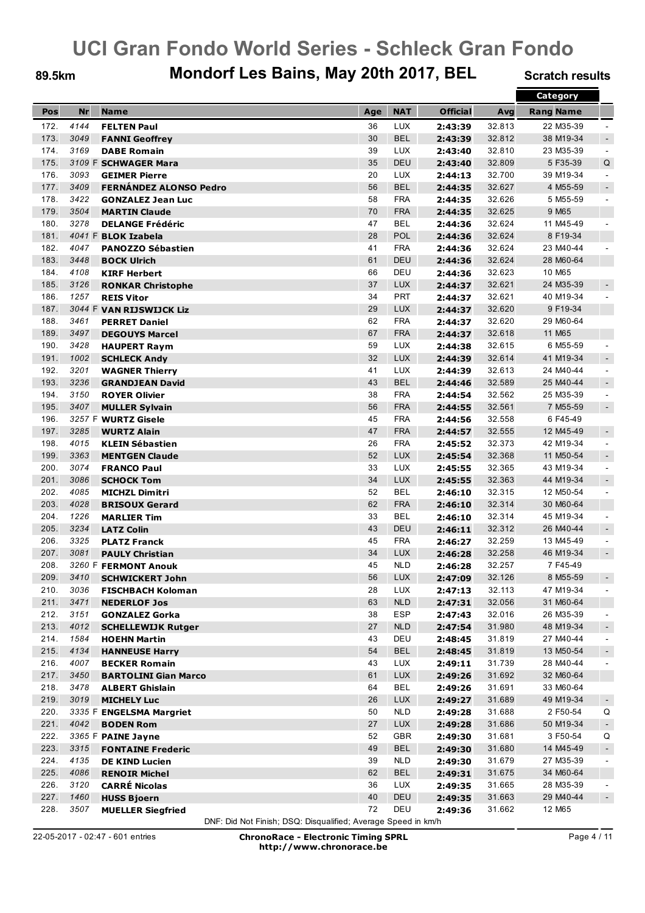### 89.5km Mondorf Les Bains, May 20th 2017, BEL Scratch results

|      |      |                                            |     |            |                 |        | Category         |                |
|------|------|--------------------------------------------|-----|------------|-----------------|--------|------------------|----------------|
| Pos  | Nr   | <b>Name</b>                                | Age | <b>NAT</b> | <b>Official</b> | Avg    | <b>Rang Name</b> |                |
| 172. | 4144 | <b>FELTEN Paul</b>                         | 36  | LUX        | 2:43:39         | 32.813 | 22 M35-39        |                |
| 173. | 3049 | <b>FANNI Geoffrey</b>                      | 30  | <b>BEL</b> | 2:43:39         | 32.812 | 38 M19-34        | $\sim$         |
| 174. | 3169 |                                            | 39  | <b>LUX</b> | 2:43:40         | 32.810 | 23 M35-39        | $\blacksquare$ |
| 175. |      | <b>DABE Romain</b><br>3109 F SCHWAGER Mara | 35  | <b>DEU</b> | 2:43:40         | 32.809 | 5F35-39          | Q              |
| 176. | 3093 |                                            | 20  | <b>LUX</b> |                 | 32.700 | 39 M19-34        |                |
|      |      | <b>GEIMER Pierre</b>                       |     |            | 2:44:13         |        |                  | $\blacksquare$ |
| 177. | 3409 | <b>FERNÁNDEZ ALONSO Pedro</b>              | 56  | <b>BEL</b> | 2:44:35         | 32.627 | 4 M55-59         | $\sim$         |
| 178. | 3422 | <b>GONZALEZ Jean Luc</b>                   | 58  | <b>FRA</b> | 2:44:35         | 32.626 | 5 M55-59         | $\blacksquare$ |
| 179. | 3504 | <b>MARTIN Claude</b>                       | 70  | <b>FRA</b> | 2:44:35         | 32.625 | 9 M65            |                |
| 180. | 3278 | <b>DELANGE Frédéric</b>                    | 47  | <b>BEL</b> | 2:44:36         | 32.624 | 11 M45-49        | $\blacksquare$ |
| 181. |      | 4041 F BLOK Izabela                        | 28  | POL        | 2:44:36         | 32.624 | 8 F19-34         |                |
| 182. | 4047 | <b>PANOZZO Sébastien</b>                   | 41  | <b>FRA</b> | 2:44:36         | 32.624 | 23 M40-44        |                |
| 183. | 3448 | <b>BOCK Ulrich</b>                         | 61  | <b>DEU</b> | 2:44:36         | 32.624 | 28 M60-64        |                |
| 184. | 4108 | <b>KIRF Herbert</b>                        | 66  | DEU        | 2:44:36         | 32.623 | 10 M65           |                |
| 185. | 3126 | <b>RONKAR Christophe</b>                   | 37  | <b>LUX</b> | 2:44:37         | 32.621 | 24 M35-39        | $\blacksquare$ |
| 186. | 1257 | <b>REIS Vitor</b>                          | 34  | <b>PRT</b> | 2:44:37         | 32.621 | 40 M19-34        | $\blacksquare$ |
| 187. |      | 3044 F VAN RIJSWIJCK Liz                   | 29  | <b>LUX</b> | 2:44:37         | 32.620 | 9 F19-34         |                |
| 188. | 3461 | <b>PERRET Daniel</b>                       | 62  | <b>FRA</b> | 2:44:37         | 32.620 | 29 M60-64        |                |
| 189. | 3497 | <b>DEGOUYS Marcel</b>                      | 67  | <b>FRA</b> | 2:44:37         | 32.618 | 11 M65           |                |
| 190. | 3428 | <b>HAUPERT Raym</b>                        | 59  | <b>LUX</b> | 2:44:38         | 32.615 | 6 M55-59         | $\blacksquare$ |
| 191. | 1002 | <b>SCHLECK Andy</b>                        | 32  | <b>LUX</b> | 2:44:39         | 32.614 | 41 M19-34        | $\sim$         |
| 192. | 3201 | <b>WAGNER Thierry</b>                      | 41  | <b>LUX</b> | 2:44:39         | 32.613 | 24 M40-44        | $\blacksquare$ |
| 193. | 3236 | <b>GRANDJEAN David</b>                     | 43  | <b>BEL</b> | 2:44:46         | 32.589 | 25 M40-44        | $\sim$         |
| 194. | 3150 | <b>ROYER Olivier</b>                       | 38  | <b>FRA</b> | 2:44:54         | 32.562 | 25 M35-39        | $\blacksquare$ |
| 195. | 3407 | <b>MULLER Sylvain</b>                      | 56  | <b>FRA</b> | 2:44:55         | 32.561 | 7 M55-59         | $\sim$         |
| 196. |      | 3257 F WURTZ Gisele                        | 45  | <b>FRA</b> | 2:44:56         | 32.558 | 6F45-49          |                |
| 197. | 3285 | <b>WURTZ Alain</b>                         | 47  | <b>FRA</b> | 2:44:57         | 32.555 | 12 M45-49        | $\sim$         |
| 198. | 4015 | <b>KLEIN Sébastien</b>                     | 26  | <b>FRA</b> | 2:45:52         | 32.373 | 42 M19-34        | $\blacksquare$ |
| 199. | 3363 | <b>MENTGEN Claude</b>                      | 52  | <b>LUX</b> | 2:45:54         | 32.368 | 11 M50-54        | $\sim$         |
| 200. | 3074 | <b>FRANCO Paul</b>                         | 33  | <b>LUX</b> | 2:45:55         | 32.365 | 43 M19-34        | $\blacksquare$ |
| 201. | 3086 |                                            | 34  | <b>LUX</b> |                 | 32.363 | 44 M19-34        | $\sim$         |
| 202. | 4085 | <b>SCHOCK Tom</b>                          | 52  | <b>BEL</b> | 2:45:55         |        | 12 M50-54        | $\sim$         |
| 203. | 4028 | <b>MICHZL Dimitri</b>                      | 62  | <b>FRA</b> | 2:46:10         | 32.315 |                  |                |
|      |      | <b>BRISOUX Gerard</b>                      |     |            | 2:46:10         | 32.314 | 30 M60-64        |                |
| 204. | 1226 | <b>MARLIER Tim</b>                         | 33  | <b>BEL</b> | 2:46:10         | 32.314 | 45 M19-34        | $\blacksquare$ |
| 205. | 3234 | <b>LATZ Colin</b>                          | 43  | DEU        | 2:46:11         | 32.312 | 26 M40-44        | $\sim$         |
| 206. | 3325 | <b>PLATZ Franck</b>                        | 45  | <b>FRA</b> | 2:46:27         | 32.259 | 13 M45-49        | $\blacksquare$ |
| 207. | 3081 | <b>PAULY Christian</b>                     | 34  | <b>LUX</b> | 2:46:28         | 32.258 | 46 M19-34        | $\blacksquare$ |
| 208. |      | 3260 F FERMONT Anouk                       | 45  | <b>NLD</b> | 2:46:28         | 32.257 | 7 F45-49         |                |
| 209. | 3410 | <b>SCHWICKERT John</b>                     | 56  | <b>LUX</b> | 2:47:09         | 32.126 | 8 M55-59         |                |
| 210. | 3036 | <b>FISCHBACH Koloman</b>                   | 28  | <b>LUX</b> | 2:47:13         | 32.113 | 47 M19-34        | $\blacksquare$ |
| 211. | 3471 | <b>NEDERLOF Jos</b>                        | 63  | <b>NLD</b> | 2:47:31         | 32.056 | 31 M60-64        |                |
| 212. | 3151 | <b>GONZALEZ Gorka</b>                      | 38  | <b>ESP</b> | 2:47:43         | 32.016 | 26 M35-39        | $\blacksquare$ |
| 213. | 4012 | <b>SCHELLEWIJK Rutger</b>                  | 27  | <b>NLD</b> | 2:47:54         | 31.980 | 48 M19-34        | $\sim$         |
| 214. | 1584 | <b>HOEHN Martin</b>                        | 43  | DEU        | 2:48:45         | 31.819 | 27 M40-44        | $\sim$         |
| 215. | 4134 | <b>HANNEUSE Harry</b>                      | 54  | <b>BEL</b> | 2:48:45         | 31.819 | 13 M50-54        | $\blacksquare$ |
| 216. | 4007 | <b>BECKER Romain</b>                       | 43  | <b>LUX</b> | 2:49:11         | 31.739 | 28 M40-44        | $\blacksquare$ |
| 217. | 3450 | <b>BARTOLINI Gian Marco</b>                | 61  | <b>LUX</b> | 2:49:26         | 31.692 | 32 M60-64        |                |
| 218. | 3478 | <b>ALBERT Ghislain</b>                     | 64  | <b>BEL</b> | 2:49:26         | 31.691 | 33 M60-64        |                |
| 219. | 3019 | <b>MICHELY Luc</b>                         | 26  | <b>LUX</b> | 2:49:27         | 31.689 | 49 M19-34        | $\blacksquare$ |
| 220. |      | 3335 F ENGELSMA Margriet                   | 50  | <b>NLD</b> | 2:49:28         | 31.688 | 2 F50-54         | Q              |
| 221. | 4042 | <b>BODEN Rom</b>                           | 27  | LUX        | 2:49:28         | 31.686 | 50 M19-34        | $\blacksquare$ |
| 222. |      | 3365 F PAINE Jayne                         | 52  | GBR        | 2:49:30         | 31.681 | 3 F50-54         | Q              |
| 223. | 3315 | <b>FONTAINE Frederic</b>                   | 49  | <b>BEL</b> | 2:49:30         | 31.680 | 14 M45-49        | $\blacksquare$ |
| 224. | 4135 | <b>DE KIND Lucien</b>                      | 39  | <b>NLD</b> | 2:49:30         | 31.679 | 27 M35-39        | $\blacksquare$ |
| 225. | 4086 | <b>RENOIR Michel</b>                       | 62  | <b>BEL</b> | 2:49:31         | 31.675 | 34 M60-64        |                |
| 226. | 3120 | <b>CARRÉ Nicolas</b>                       | 36  | <b>LUX</b> | 2:49:35         | 31.665 | 28 M35-39        | $\blacksquare$ |
| 227. | 1460 | <b>HUSS Bjoern</b>                         | 40  | DEU        | 2:49:35         | 31.663 | 29 M40-44        | $\blacksquare$ |
| 228. | 3507 | <b>MUELLER Siegfried</b>                   | 72  | DEU        | 2:49:36         | 31.662 | 12 M65           |                |
|      |      |                                            |     |            |                 |        |                  |                |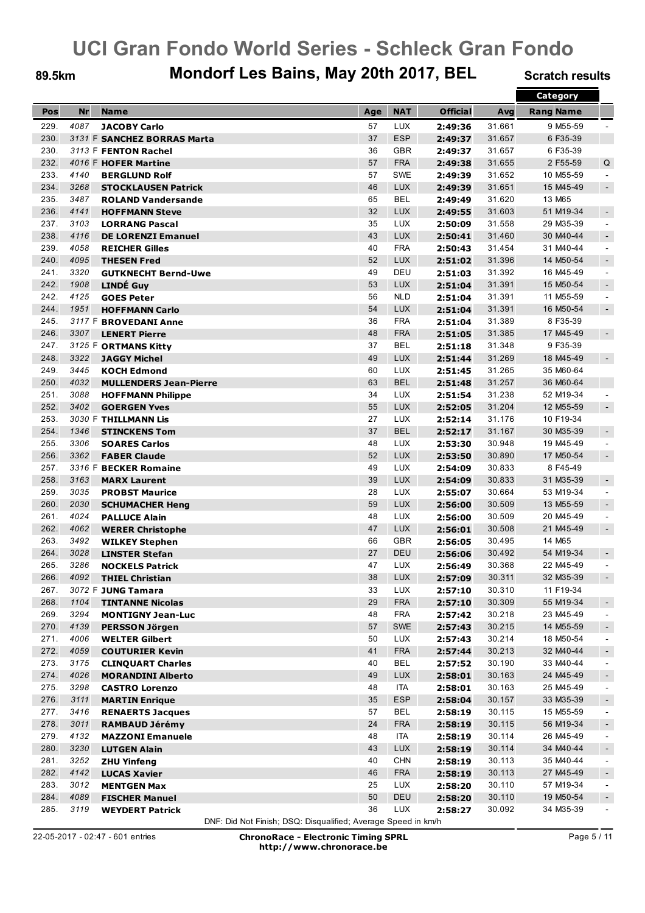### 89.5km Mondorf Les Bains, May 20th 2017, BEL Scratch results

|      |           |                               |     |            |                 |        | Category         |                |
|------|-----------|-------------------------------|-----|------------|-----------------|--------|------------------|----------------|
| Pos  | <b>Nr</b> | <b>Name</b>                   | Age | <b>NAT</b> | <b>Official</b> | Avg    | <b>Rang Name</b> |                |
| 229. | 4087      | <b>JACOBY Carlo</b>           | 57  | <b>LUX</b> | 2:49:36         | 31.661 | 9 M55-59         |                |
| 230. |           | 3131 F SANCHEZ BORRAS Marta   | 37  | <b>ESP</b> | 2:49:37         | 31.657 | 6F35-39          |                |
| 230. |           | 3113 F FENTON Rachel          | 36  | <b>GBR</b> | 2:49:37         | 31.657 | 6F35-39          |                |
| 232. |           |                               | 57  | <b>FRA</b> |                 |        | 2 F55-59         | Q              |
|      |           | 4016 F HOFER Martine          |     |            | 2:49:38         | 31.655 |                  |                |
| 233. | 4140      | <b>BERGLUND Rolf</b>          | 57  | <b>SWE</b> | 2:49:39         | 31.652 | 10 M55-59        | $\blacksquare$ |
| 234. | 3268      | <b>STOCKLAUSEN Patrick</b>    | 46  | <b>LUX</b> | 2:49:39         | 31.651 | 15 M45-49        | $\sim$         |
| 235. | 3487      | <b>ROLAND Vandersande</b>     | 65  | <b>BEL</b> | 2:49:49         | 31.620 | 13 M65           |                |
| 236. | 4141      | <b>HOFFMANN Steve</b>         | 32  | <b>LUX</b> | 2:49:55         | 31.603 | 51 M19-34        | $\blacksquare$ |
| 237. | 3103      | <b>LORRANG Pascal</b>         | 35  | <b>LUX</b> | 2:50:09         | 31.558 | 29 M35-39        | $\blacksquare$ |
| 238. | 4116      | <b>DE LORENZI Emanuel</b>     | 43  | <b>LUX</b> | 2:50:41         | 31.460 | 30 M40-44        | $\sim$         |
| 239. | 4058      | <b>REICHER Gilles</b>         | 40  | <b>FRA</b> | 2:50:43         | 31.454 | 31 M40-44        | $\blacksquare$ |
| 240. | 4095      | <b>THESEN Fred</b>            | 52  | <b>LUX</b> | 2:51:02         | 31.396 | 14 M50-54        | $\sim$         |
| 241. | 3320      | <b>GUTKNECHT Bernd-Uwe</b>    | 49  | DEU        | 2:51:03         | 31.392 | 16 M45-49        | $\blacksquare$ |
| 242. | 1908      | <b>LINDÉ Guy</b>              | 53  | <b>LUX</b> | 2:51:04         | 31.391 | 15 M50-54        | $\sim$         |
| 242. | 4125      | <b>GOES Peter</b>             | 56  | <b>NLD</b> | 2:51:04         | 31.391 | 11 M55-59        | $\sim$         |
| 244. | 1951      | <b>HOFFMANN Carlo</b>         | 54  | <b>LUX</b> | 2:51:04         | 31.391 | 16 M50-54        | $\blacksquare$ |
| 245. |           | 3117 F BROVEDANI Anne         | 36  | <b>FRA</b> | 2:51:04         | 31.389 | 8 F35-39         |                |
| 246. | 3307      | <b>LENERT Pierre</b>          | 48  | <b>FRA</b> | 2:51:05         | 31.385 | 17 M45-49        | $\blacksquare$ |
| 247. |           | 3125 F ORTMANS Kitty          | 37  | <b>BEL</b> | 2:51:18         | 31.348 | 9F35-39          |                |
| 248. | 3322      | <b>JAGGY Michel</b>           | 49  | <b>LUX</b> | 2:51:44         | 31.269 | 18 M45-49        | $\sim$         |
| 249. | 3445      | <b>KOCH Edmond</b>            | 60  | <b>LUX</b> | 2:51:45         | 31.265 | 35 M60-64        |                |
| 250. | 4032      | <b>MULLENDERS Jean-Pierre</b> | 63  | <b>BEL</b> | 2:51:48         | 31.257 | 36 M60-64        |                |
| 251. | 3088      |                               | 34  | <b>LUX</b> |                 | 31.238 | 52 M19-34        | $\sim$         |
| 252. | 3402      | <b>HOFFMANN Philippe</b>      | 55  | <b>LUX</b> | 2:51:54         |        |                  |                |
|      |           | <b>GOERGEN Yves</b>           |     |            | 2:52:05         | 31.204 | 12 M55-59        | $\sim$         |
| 253. |           | 3030 F THILLMANN Lis          | 27  | <b>LUX</b> | 2:52:14         | 31.176 | 10 F19-34        |                |
| 254. | 1346      | <b>STINCKENS Tom</b>          | 37  | <b>BEL</b> | 2:52:17         | 31.167 | 30 M35-39        | $\sim$         |
| 255. | 3306      | <b>SOARES Carlos</b>          | 48  | <b>LUX</b> | 2:53:30         | 30.948 | 19 M45-49        | $\blacksquare$ |
| 256. | 3362      | <b>FABER Claude</b>           | 52  | <b>LUX</b> | 2:53:50         | 30.890 | 17 M50-54        | $\blacksquare$ |
| 257. |           | 3316 F BECKER Romaine         | 49  | <b>LUX</b> | 2:54:09         | 30.833 | 8 F45-49         |                |
| 258. | 3163      | <b>MARX Laurent</b>           | 39  | <b>LUX</b> | 2:54:09         | 30.833 | 31 M35-39        | $\sim$         |
| 259. | 3035      | <b>PROBST Maurice</b>         | 28  | <b>LUX</b> | 2:55:07         | 30.664 | 53 M19-34        | $\sim$         |
| 260. | 2030      | <b>SCHUMACHER Heng</b>        | 59  | <b>LUX</b> | 2:56:00         | 30.509 | 13 M55-59        | $\blacksquare$ |
| 261. | 4024      | <b>PALLUCE Alain</b>          | 48  | <b>LUX</b> | 2:56:00         | 30.509 | 20 M45-49        | $\blacksquare$ |
| 262. | 4062      | <b>WERER Christophe</b>       | 47  | <b>LUX</b> | 2:56:01         | 30.508 | 21 M45-49        | $\sim$         |
| 263. | 3492      | <b>WILKEY Stephen</b>         | 66  | <b>GBR</b> | 2:56:05         | 30.495 | 14 M65           |                |
| 264. | 3028      | <b>LINSTER Stefan</b>         | 27  | <b>DEU</b> | 2:56:06         | 30.492 | 54 M19-34        | $\blacksquare$ |
| 265. | 3286      | <b>NOCKELS Patrick</b>        | 47  | <b>LUX</b> | 2:56:49         | 30.368 | 22 M45-49        | $\blacksquare$ |
| 266. | 4092      | <b>THIEL Christian</b>        | 38  | <b>LUX</b> | 2:57:09         | 30.311 | 32 M35-39        | $\sim$         |
| 267. |           | 3072 F JUNG Tamara            | 33  | <b>LUX</b> | 2:57:10         | 30.310 | 11 F19-34        |                |
| 268. | 1104      | <b>TINTANNE Nicolas</b>       | 29  | <b>FRA</b> | 2:57:10         | 30.309 | 55 M19-34        | $\blacksquare$ |
| 269. | 3294      | <b>MONTIGNY Jean-Luc</b>      | 48  | <b>FRA</b> | 2:57:42         | 30.218 | 23 M45-49        | $\blacksquare$ |
| 270. | 4139      | <b>PERSSON Jörgen</b>         | 57  | SWE        | 2:57:43         | 30.215 | 14 M55-59        | $\sim$         |
| 271. | 4006      | <b>WELTER Gilbert</b>         | 50  | LUX        | 2:57:43         | 30.214 | 18 M50-54        | $\sim$         |
| 272. | 4059      | <b>COUTURIER Kevin</b>        | 41  | <b>FRA</b> | 2:57:44         | 30.213 | 32 M40-44        | $\blacksquare$ |
| 273. | 3175      |                               | 40  | <b>BEL</b> |                 | 30.190 | 33 M40-44        |                |
|      |           | <b>CLINQUART Charles</b>      |     |            | 2:57:52         |        |                  | $\blacksquare$ |
| 274. | 4026      | <b>MORANDINI Alberto</b>      | 49  | LUX        | 2:58:01         | 30.163 | 24 M45-49        | $\blacksquare$ |
| 275. | 3298      | <b>CASTRO Lorenzo</b>         | 48  | <b>ITA</b> | 2:58:01         | 30.163 | 25 M45-49        | $\blacksquare$ |
| 276. | 3111      | <b>MARTIN Enrique</b>         | 35  | <b>ESP</b> | 2:58:04         | 30.157 | 33 M35-39        | $\blacksquare$ |
| 277. | 3416      | <b>RENAERTS Jacques</b>       | 57  | <b>BEL</b> | 2:58:19         | 30.115 | 15 M55-59        | $\blacksquare$ |
| 278. | 3011      | <b>RAMBAUD Jérémy</b>         | 24  | <b>FRA</b> | 2:58:19         | 30.115 | 56 M19-34        | $\sim$         |
| 279. | 4132      | <b>MAZZONI Emanuele</b>       | 48  | <b>ITA</b> | 2:58:19         | 30.114 | 26 M45-49        | $\sim$         |
| 280. | 3230      | <b>LUTGEN Alain</b>           | 43  | <b>LUX</b> | 2:58:19         | 30.114 | 34 M40-44        | $\blacksquare$ |
| 281. | 3252      | <b>ZHU Yinfeng</b>            | 40  | <b>CHN</b> | 2:58:19         | 30.113 | 35 M40-44        | $\blacksquare$ |
| 282. | 4142      | <b>LUCAS Xavier</b>           | 46  | <b>FRA</b> | 2:58:19         | 30.113 | 27 M45-49        | $\blacksquare$ |
| 283. | 3012      | <b>MENTGEN Max</b>            | 25  | <b>LUX</b> | 2:58:20         | 30.110 | 57 M19-34        | $\blacksquare$ |
| 284. | 4089      | <b>FISCHER Manuel</b>         | 50  | DEU        | 2:58:20         | 30.110 | 19 M50-54        | $\blacksquare$ |
| 285. | 3119      | <b>WEYDERT Patrick</b>        | 36  | <b>LUX</b> | 2:58:27         | 30.092 | 34 M35-39        | $\blacksquare$ |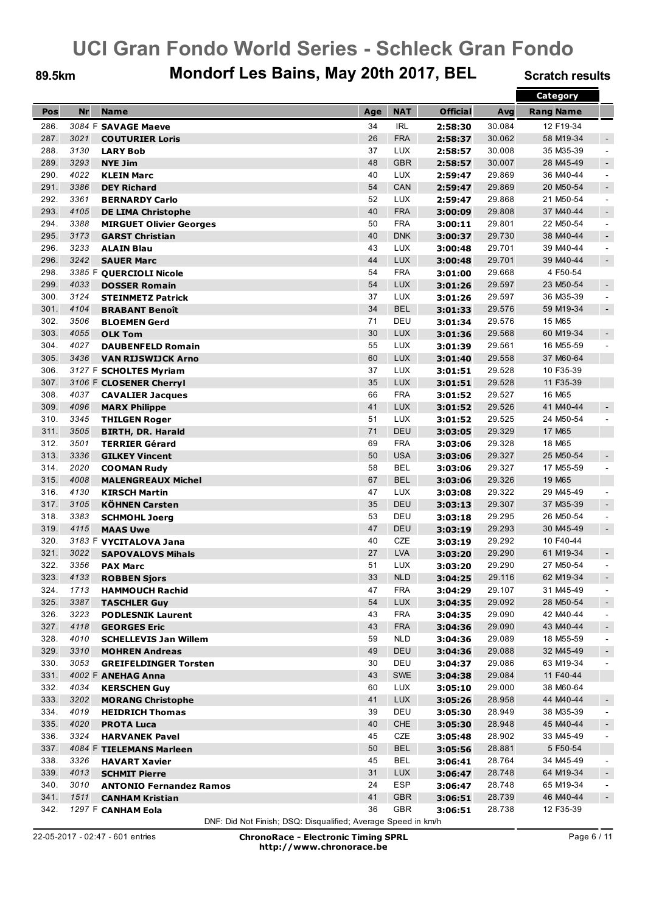### 89.5km Mondorf Les Bains, May 20th 2017, BEL Scratch results

|      |           |                                |     |            |                 |                  | <b>Category</b>  |                |
|------|-----------|--------------------------------|-----|------------|-----------------|------------------|------------------|----------------|
| Pos  | <b>Nr</b> | <b>Name</b>                    | Age | <b>NAT</b> | <b>Official</b> | Avg              | <b>Rang Name</b> |                |
| 286. |           | 3084 F SAVAGE Maeve            | 34  | <b>IRL</b> | 2:58:30         | 30.084           | 12 F19-34        |                |
| 287. | 3021      | <b>COUTURIER Loris</b>         | 26  | <b>FRA</b> | 2:58:37         | 30.062           | 58 M19-34        | $\sim$         |
| 288. | 3130      | <b>LARY Bob</b>                | 37  | <b>LUX</b> | 2:58:57         | 30.008           | 35 M35-39        | $\sim$         |
| 289. | 3293      | <b>NYE Jim</b>                 | 48  | <b>GBR</b> | 2:58:57         | 30.007           | 28 M45-49        | $\blacksquare$ |
| 290. | 4022      | <b>KLEIN Marc</b>              | 40  | <b>LUX</b> | 2:59:47         | 29.869           | 36 M40-44        | $\blacksquare$ |
| 291. | 3386      | <b>DEY Richard</b>             | 54  | CAN        | 2:59:47         | 29.869           | 20 M50-54        | $\blacksquare$ |
| 292. | 3361      | <b>BERNARDY Carlo</b>          | 52  | <b>LUX</b> | 2:59:47         | 29.868           | 21 M50-54        | $\blacksquare$ |
| 293. | 4105      | <b>DE LIMA Christophe</b>      | 40  | <b>FRA</b> | 3:00:09         | 29.808           | 37 M40-44        | $\blacksquare$ |
| 294. | 3388      |                                | 50  | <b>FRA</b> |                 | 29.801           | 22 M50-54        | $\blacksquare$ |
| 295. | 3173      | <b>MIRGUET Olivier Georges</b> | 40  | <b>DNK</b> | 3:00:11         |                  | 38 M40-44        |                |
| 296. | 3233      | <b>GARST Christian</b>         | 43  | <b>LUX</b> | 3:00:37         | 29.730<br>29.701 | 39 M40-44        | $\blacksquare$ |
|      |           | <b>ALAIN Blau</b>              |     |            | 3:00:48         |                  | 39 M40-44        | $\blacksquare$ |
| 296. | 3242      | <b>SAUER Marc</b>              | 44  | <b>LUX</b> | 3:00:48         | 29.701           |                  | $\blacksquare$ |
| 298. |           | 3385 F QUERCIOLI Nicole        | 54  | <b>FRA</b> | 3:01:00         | 29.668           | 4 F50-54         |                |
| 299. | 4033      | <b>DOSSER Romain</b>           | 54  | <b>LUX</b> | 3:01:26         | 29.597           | 23 M50-54        | $\blacksquare$ |
| 300. | 3124      | <b>STEINMETZ Patrick</b>       | 37  | <b>LUX</b> | 3:01:26         | 29.597           | 36 M35-39        | $\sim$         |
| 301. | 4104      | <b>BRABANT Benoît</b>          | 34  | <b>BEL</b> | 3:01:33         | 29.576           | 59 M19-34        | $\blacksquare$ |
| 302. | 3506      | <b>BLOEMEN Gerd</b>            | 71  | DEU        | 3:01:34         | 29.576           | 15 M65           |                |
| 303. | 4055      | <b>OLK Tom</b>                 | 30  | <b>LUX</b> | 3:01:36         | 29.568           | 60 M19-34        | $\sim$         |
| 304. | 4027      | <b>DAUBENFELD Romain</b>       | 55  | <b>LUX</b> | 3:01:39         | 29.561           | 16 M55-59        | $\blacksquare$ |
| 305. | 3436      | <b>VAN RIJSWIJCK Arno</b>      | 60  | <b>LUX</b> | 3:01:40         | 29.558           | 37 M60-64        |                |
| 306. |           | 3127 F SCHOLTES Myriam         | 37  | <b>LUX</b> | 3:01:51         | 29.528           | 10 F35-39        |                |
| 307. |           | 3106 F CLOSENER Cherryl        | 35  | <b>LUX</b> | 3:01:51         | 29.528           | 11 F35-39        |                |
| 308. | 4037      | <b>CAVALIER Jacques</b>        | 66  | <b>FRA</b> | 3:01:52         | 29.527           | 16 M65           |                |
| 309. | 4096      | <b>MARX Philippe</b>           | 41  | <b>LUX</b> | 3:01:52         | 29.526           | 41 M40-44        |                |
| 310. | 3345      | <b>THILGEN Roger</b>           | 51  | <b>LUX</b> | 3:01:52         | 29.525           | 24 M50-54        |                |
| 311. | 3505      | <b>BIRTH, DR. Harald</b>       | 71  | DEU        | 3:03:05         | 29.329           | 17 M65           |                |
| 312. | 3501      | <b>TERRIER Gérard</b>          | 69  | <b>FRA</b> | 3:03:06         | 29.328           | 18 M65           |                |
| 313. | 3336      | <b>GILKEY Vincent</b>          | 50  | <b>USA</b> | 3:03:06         | 29.327           | 25 M50-54        | $\blacksquare$ |
| 314. | 2020      | <b>COOMAN Rudy</b>             | 58  | <b>BEL</b> | 3:03:06         | 29.327           | 17 M55-59        | $\blacksquare$ |
| 315. | 4008      | <b>MALENGREAUX Michel</b>      | 67  | <b>BEL</b> | 3:03:06         | 29.326           | 19 M65           |                |
| 316. | 4130      | <b>KIRSCH Martin</b>           | 47  | <b>LUX</b> | 3:03:08         | 29.322           | 29 M45-49        | $\sim$         |
| 317. | 3105      | <b>KÖHNEN Carsten</b>          | 35  | <b>DEU</b> | 3:03:13         | 29.307           | 37 M35-39        | $\blacksquare$ |
| 318. | 3383      | <b>SCHMOHL Joerg</b>           | 53  | DEU        | 3:03:18         | 29.295           | 26 M50-54        | $\blacksquare$ |
| 319. | 4115      | <b>MAAS Uwe</b>                | 47  | DEU        | 3:03:19         | 29.293           | 30 M45-49        | $\blacksquare$ |
| 320. |           | 3183 F VYCITALOVA Jana         | 40  | CZE        | 3:03:19         | 29.292           | 10 F40-44        |                |
| 321. | 3022      | <b>SAPOVALOVS Mihals</b>       | 27  | <b>LVA</b> | 3:03:20         | 29.290           | 61 M19-34        | $\blacksquare$ |
| 322. | 3356      | <b>PAX Marc</b>                | 51  | <b>LUX</b> | 3:03:20         | 29.290           | 27 M50-54        | $\blacksquare$ |
| 323  | 4133      | <b>ROBBEN Sjors</b>            | 33  | <b>NLD</b> | 3:04:25         | 29.116           | 62 M19-34        | $\sim$         |
| 324. | 1713      | <b>HAMMOUCH Rachid</b>         | 47  | <b>FRA</b> | 3:04:29         | 29.107           | 31 M45-49        | $\blacksquare$ |
| 325. | 3387      | <b>TASCHLER Guy</b>            | 54  | <b>LUX</b> | 3:04:35         | 29.092           | 28 M50-54        | $\blacksquare$ |
| 326. | 3223      | <b>PODLESNIK Laurent</b>       | 43  | <b>FRA</b> | 3:04:35         | 29.090           | 42 M40-44        | $\blacksquare$ |
| 327. | 4118      | <b>GEORGES Eric</b>            | 43  | <b>FRA</b> | 3:04:36         | 29.090           | 43 M40-44        | $\blacksquare$ |
| 328. | 4010      | <b>SCHELLEVIS Jan Willem</b>   | 59  | <b>NLD</b> | 3:04:36         | 29.089           | 18 M55-59        | $\blacksquare$ |
| 329. | 3310      | <b>MOHREN Andreas</b>          | 49  | DEU        | 3:04:36         | 29.088           | 32 M45-49        | $\blacksquare$ |
| 330. | 3053      | <b>GREIFELDINGER Torsten</b>   | 30  | DEU        | 3:04:37         | 29.086           | 63 M19-34        | $\blacksquare$ |
| 331. |           | 4002 F ANEHAG Anna             | 43  | <b>SWE</b> | 3:04:38         | 29.084           | 11 F40-44        |                |
| 332. | 4034      | <b>KERSCHEN Guy</b>            | 60  | LUX        | 3:05:10         | 29.000           | 38 M60-64        |                |
| 333. | 3202      | <b>MORANG Christophe</b>       | 41  | <b>LUX</b> | 3:05:26         | 28.958           | 44 M40-44        | $\blacksquare$ |
| 334. | 4019      | <b>HEIDRICH Thomas</b>         | 39  | DEU        | 3:05:30         | 28.949           | 38 M35-39        | $\blacksquare$ |
| 335. | 4020      | <b>PROTA Luca</b>              | 40  | <b>CHE</b> | 3:05:30         | 28.948           | 45 M40-44        | $\blacksquare$ |
| 336. | 3324      | <b>HARVANEK Pavel</b>          | 45  | CZE        | 3:05:48         | 28.902           | 33 M45-49        | $\blacksquare$ |
| 337. |           | 4084 F TIELEMANS Marleen       | 50  | <b>BEL</b> | 3:05:56         | 28.881           | 5 F50-54         |                |
| 338. | 3326      | <b>HAVART Xavier</b>           | 45  | <b>BEL</b> | 3:06:41         | 28.764           | 34 M45-49        | $\blacksquare$ |
| 339. | 4013      | <b>SCHMIT Pierre</b>           | 31  | <b>LUX</b> | 3:06:47         | 28.748           | 64 M19-34        | $\blacksquare$ |
| 340. | 3010      | <b>ANTONIO Fernandez Ramos</b> | 24  | ESP        | 3:06:47         | 28.748           | 65 M19-34        | $\blacksquare$ |
| 341. | 1511      | <b>CANHAM Kristian</b>         | 41  | <b>GBR</b> | 3:06:51         | 28.739           | 46 M40-44        | $\blacksquare$ |
| 342. |           | 1297 F CANHAM Eola             | 36  | GBR        | 3:06:51         | 28.738           | 12 F35-39        |                |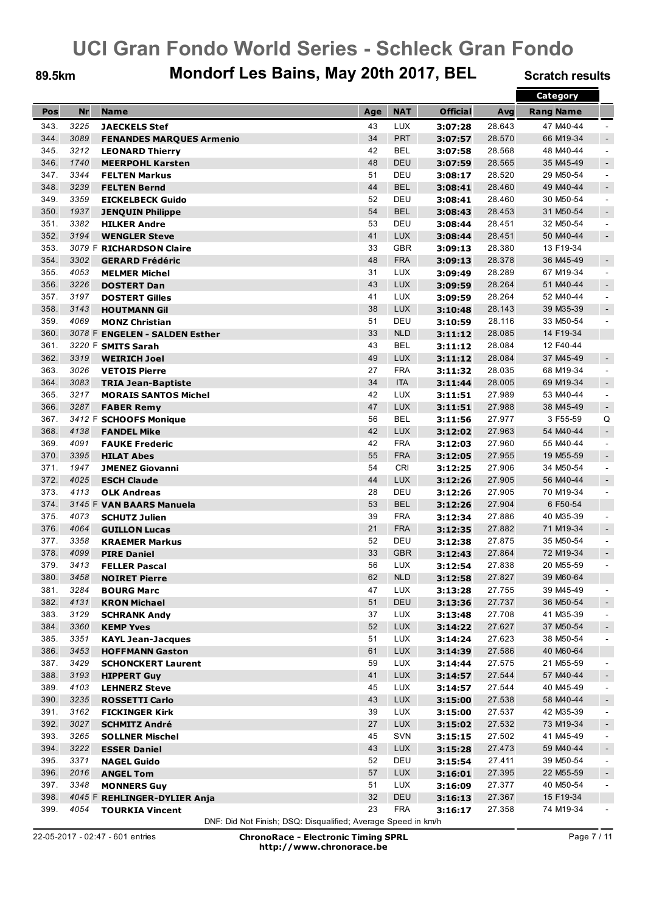### 89.5km Mondorf Les Bains, May 20th 2017, BEL Scratch results

|      |           |                                 |     |            |                 |        | Category         |                          |
|------|-----------|---------------------------------|-----|------------|-----------------|--------|------------------|--------------------------|
| Pos  | <b>Nr</b> | <b>Name</b>                     | Age | <b>NAT</b> | <b>Official</b> | Avg    | <b>Rang Name</b> |                          |
| 343. | 3225      | <b>JAECKELS Stef</b>            | 43  | <b>LUX</b> | 3:07:28         | 28.643 | 47 M40-44        | $\blacksquare$           |
| 344. | 3089      | <b>FENANDES MARQUES Armenio</b> | 34  | <b>PRT</b> | 3:07:57         | 28.570 | 66 M19-34        | $\sim$                   |
| 345. | 3212      | <b>LEONARD Thierry</b>          | 42  | <b>BEL</b> | 3:07:58         | 28.568 | 48 M40-44        | $\sim$                   |
| 346. | 1740      |                                 | 48  | <b>DEU</b> |                 |        | 35 M45-49        |                          |
|      |           | <b>MEERPOHL Karsten</b>         |     |            | 3:07:59         | 28.565 |                  | $\sim$                   |
| 347. | 3344      | <b>FELTEN Markus</b>            | 51  | DEU        | 3:08:17         | 28.520 | 29 M50-54        | $\blacksquare$           |
| 348. | 3239      | <b>FELTEN Bernd</b>             | 44  | <b>BEL</b> | 3:08:41         | 28.460 | 49 M40-44        | $\sim$                   |
| 349. | 3359      | <b>EICKELBECK Guido</b>         | 52  | DEU        | 3:08:41         | 28.460 | 30 M50-54        | $\blacksquare$           |
| 350. | 1937      | <b>JENOUIN Philippe</b>         | 54  | <b>BEL</b> | 3:08:43         | 28.453 | 31 M50-54        | $\blacksquare$           |
| 351. | 3382      | <b>HILKER Andre</b>             | 53  | DEU        | 3:08:44         | 28.451 | 32 M50-54        | $\blacksquare$           |
| 352. | 3194      | <b>WENGLER Steve</b>            | 41  | <b>LUX</b> | 3:08:44         | 28.451 | 50 M40-44        | $\sim$                   |
| 353. |           | 3079 F RICHARDSON Claire        | 33  | <b>GBR</b> | 3:09:13         | 28.380 | 13 F19-34        |                          |
| 354. | 3302      | <b>GERARD Frédéric</b>          | 48  | <b>FRA</b> | 3:09:13         | 28.378 | 36 M45-49        | $\blacksquare$           |
| 355. | 4053      | <b>MELMER Michel</b>            | 31  | <b>LUX</b> | 3:09:49         | 28.289 | 67 M19-34        | $\blacksquare$           |
| 356. | 3226      | <b>DOSTERT Dan</b>              | 43  | <b>LUX</b> | 3:09:59         | 28.264 | 51 M40-44        | $\sim$                   |
| 357. | 3197      | <b>DOSTERT Gilles</b>           | 41  | <b>LUX</b> | 3:09:59         | 28.264 | 52 M40-44        | $\sim$                   |
| 358. | 3143      | <b>HOUTMANN Gil</b>             | 38  | <b>LUX</b> | 3:10:48         | 28.143 | 39 M35-39        | $\blacksquare$           |
| 359. | 4069      | <b>MONZ Christian</b>           | 51  | DEU        | 3:10:59         | 28.116 | 33 M50-54        | $\blacksquare$           |
| 360. |           | 3078 F ENGELEN - SALDEN Esther  | 33  | <b>NLD</b> | 3:11:12         | 28.085 | 14 F19-34        |                          |
| 361. |           | 3220 F SMITS Sarah              | 43  | <b>BEL</b> | 3:11:12         | 28.084 | 12 F40-44        |                          |
| 362. | 3319      | <b>WEIRICH Joel</b>             | 49  | <b>LUX</b> | 3:11:12         | 28.084 | 37 M45-49        | $\blacksquare$           |
| 363. | 3026      | <b>VETOIS Pierre</b>            | 27  | <b>FRA</b> | 3:11:32         | 28.035 | 68 M19-34        | $\blacksquare$           |
| 364. | 3083      | <b>TRIA Jean-Baptiste</b>       | 34  | <b>ITA</b> | 3:11:44         | 28.005 | 69 M19-34        | $\sim$                   |
| 365. | 3217      |                                 | 42  | <b>LUX</b> |                 | 27.989 | 53 M40-44        | $\blacksquare$           |
|      |           | <b>MORAIS SANTOS Michel</b>     |     |            | 3:11:51         |        |                  |                          |
| 366. | 3287      | <b>FABER Remy</b>               | 47  | <b>LUX</b> | 3:11:51         | 27.988 | 38 M45-49        | $\sim$                   |
| 367. |           | 3412 F SCHOOFS Monique          | 56  | <b>BEL</b> | 3:11:56         | 27.977 | 3 F55-59         | Q                        |
| 368. | 4138      | <b>FANDEL Mike</b>              | 42  | <b>LUX</b> | 3:12:02         | 27.963 | 54 M40-44        | $\sim$                   |
| 369. | 4091      | <b>FAUKE Frederic</b>           | 42  | <b>FRA</b> | 3:12:03         | 27.960 | 55 M40-44        | $\blacksquare$           |
| 370. | 3395      | <b>HILAT Abes</b>               | 55  | <b>FRA</b> | 3:12:05         | 27.955 | 19 M55-59        | $\sim$                   |
| 371. | 1947      | <b>JMENEZ Giovanni</b>          | 54  | <b>CRI</b> | 3:12:25         | 27.906 | 34 M50-54        | $\blacksquare$           |
| 372. | 4025      | <b>ESCH Claude</b>              | 44  | <b>LUX</b> | 3:12:26         | 27.905 | 56 M40-44        | $\sim$                   |
| 373. | 4113      | <b>OLK Andreas</b>              | 28  | DEU        | 3:12:26         | 27.905 | 70 M19-34        | $\sim$                   |
| 374. |           | 3145 F VAN BAARS Manuela        | 53  | <b>BEL</b> | 3:12:26         | 27.904 | 6 F50-54         |                          |
| 375. | 4073      | <b>SCHUTZ Julien</b>            | 39  | <b>FRA</b> | 3:12:34         | 27.886 | 40 M35-39        | $\blacksquare$           |
| 376. | 4064      | <b>GUILLON Lucas</b>            | 21  | <b>FRA</b> | 3:12:35         | 27.882 | 71 M19-34        | $\sim$                   |
| 377. | 3358      | <b>KRAEMER Markus</b>           | 52  | DEU        | 3:12:38         | 27.875 | 35 M50-54        | $\blacksquare$           |
| 378. | 4099      | <b>PIRE Daniel</b>              | 33  | <b>GBR</b> | 3:12:43         | 27.864 | 72 M19-34        | $\sim$                   |
| 379. | 3413      | <b>FELLER Pascal</b>            | 56  | <b>LUX</b> | 3:12:54         | 27.838 | 20 M55-59        | $\blacksquare$           |
| 380. | 3458      | <b>NOIRET Pierre</b>            | 62  | <b>NLD</b> | 3:12:58         | 27.827 | 39 M60-64        |                          |
| 381. | 3284      | <b>BOURG Marc</b>               | 47  | LUX        | 3:13:28         | 27.755 | 39 M45-49        | $\blacksquare$           |
| 382. | 4131      | <b>KRON Michael</b>             | 51  | <b>DEU</b> | 3:13:36         | 27.737 | 36 M50-54        | $\blacksquare$           |
| 383. | 3129      | <b>SCHRANK Andy</b>             | 37  | <b>LUX</b> | 3:13:48         | 27.708 | 41 M35-39        | $\blacksquare$           |
| 384. | 3360      | <b>KEMP Yves</b>                | 52  | <b>LUX</b> | 3:14:22         | 27.627 | 37 M50-54        | $\overline{\phantom{a}}$ |
| 385. | 3351      | <b>KAYL Jean-Jacques</b>        | 51  | <b>LUX</b> | 3:14:24         | 27.623 | 38 M50-54        | $\blacksquare$           |
| 386. | 3453      | <b>HOFFMANN Gaston</b>          | 61  | <b>LUX</b> | 3:14:39         | 27.586 | 40 M60-64        |                          |
| 387. | 3429      |                                 | 59  | <b>LUX</b> |                 | 27.575 | 21 M55-59        |                          |
|      |           | <b>SCHONCKERT Laurent</b>       |     |            | 3:14:44         |        |                  | $\blacksquare$           |
| 388. | 3193      | <b>HIPPERT Guy</b>              | 41  | <b>LUX</b> | 3:14:57         | 27.544 | 57 M40-44        | $\blacksquare$           |
| 389. | 4103      | <b>LEHNERZ Steve</b>            | 45  | <b>LUX</b> | 3:14:57         | 27.544 | 40 M45-49        | $\blacksquare$           |
| 390. | 3235      | <b>ROSSETTI Carlo</b>           | 43  | <b>LUX</b> | 3:15:00         | 27.538 | 58 M40-44        | $\blacksquare$           |
| 391. | 3162      | <b>FICKINGER Kirk</b>           | 39  | <b>LUX</b> | 3:15:00         | 27.537 | 42 M35-39        | $\blacksquare$           |
| 392. | 3027      | <b>SCHMITZ André</b>            | 27  | <b>LUX</b> | 3:15:02         | 27.532 | 73 M19-34        | $\sim$                   |
| 393. | 3265      | <b>SOLLNER Mischel</b>          | 45  | SVN        | 3:15:15         | 27.502 | 41 M45-49        | $\sim$                   |
| 394. | 3222      | <b>ESSER Daniel</b>             | 43  | <b>LUX</b> | 3:15:28         | 27.473 | 59 M40-44        | $\blacksquare$           |
| 395. | 3371      | <b>NAGEL Guido</b>              | 52  | DEU        | 3:15:54         | 27.411 | 39 M50-54        | $\blacksquare$           |
| 396. | 2016      | <b>ANGEL Tom</b>                | 57  | <b>LUX</b> | 3:16:01         | 27.395 | 22 M55-59        | $\blacksquare$           |
| 397. | 3348      | <b>MONNERS Guy</b>              | 51  | <b>LUX</b> | 3:16:09         | 27.377 | 40 M50-54        | $\blacksquare$           |
| 398. |           | 4045 F REHLINGER-DYLIER Anja    | 32  | DEU        | 3:16:13         | 27.367 | 15 F19-34        |                          |
| 399. | 4054      | <b>TOURKIA Vincent</b>          | 23  | <b>FRA</b> | 3:16:17         | 27.358 | 74 M19-34        |                          |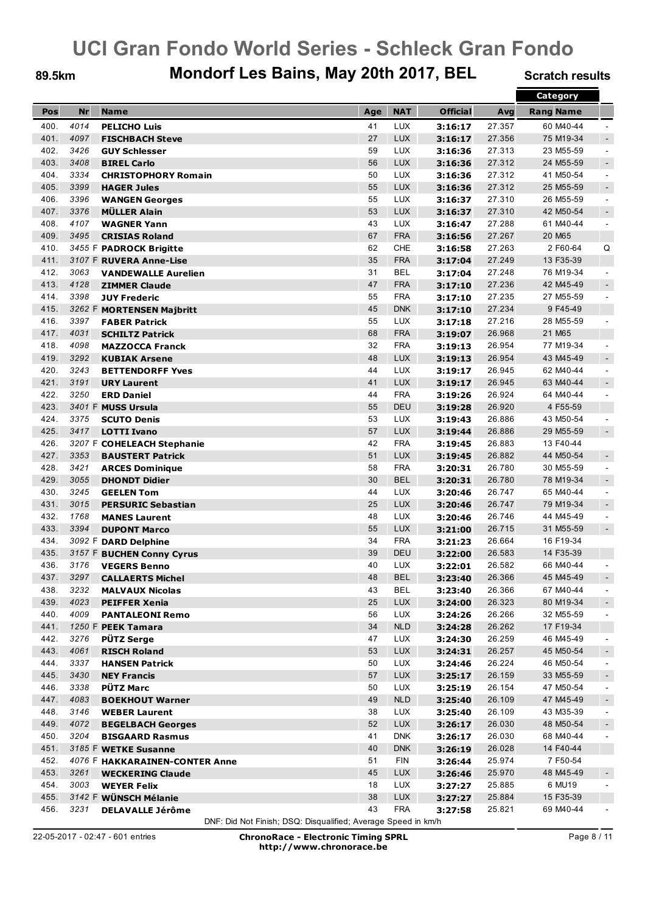### 89.5km Mondorf Les Bains, May 20th 2017, BEL Scratch results

|              |      |                                |     |            |                 |        | Category         |                          |
|--------------|------|--------------------------------|-----|------------|-----------------|--------|------------------|--------------------------|
| Pos          | Nr   | <b>Name</b>                    | Age | <b>NAT</b> | <b>Official</b> | Avg    | <b>Rang Name</b> |                          |
| 400.         | 4014 | <b>PELICHO Luis</b>            | 41  | <b>LUX</b> | 3:16:17         | 27.357 | 60 M40-44        | $\overline{\phantom{a}}$ |
| 401.         | 4097 | <b>FISCHBACH Steve</b>         | 27  | <b>LUX</b> | 3:16:17         | 27.356 | 75 M19-34        | $\sim$                   |
| 402.         | 3426 |                                | 59  | <b>LUX</b> | 3:16:36         | 27.313 | 23 M55-59        | $\blacksquare$           |
| 403.         | 3408 | <b>GUY Schlesser</b>           | 56  | <b>LUX</b> |                 | 27.312 | 24 M55-59        |                          |
|              |      | <b>BIREL Carlo</b>             |     |            | 3:16:36         |        |                  | $\sim$                   |
| 404.         | 3334 | <b>CHRISTOPHORY Romain</b>     | 50  | <b>LUX</b> | 3:16:36         | 27.312 | 41 M50-54        | $\blacksquare$           |
| 405.         | 3399 | <b>HAGER Jules</b>             | 55  | <b>LUX</b> | 3:16:36         | 27.312 | 25 M55-59        | $\sim$                   |
| 406.         | 3396 | <b>WANGEN Georges</b>          | 55  | <b>LUX</b> | 3:16:37         | 27.310 | 26 M55-59        | $\blacksquare$           |
| 407.         | 3376 | <b>MÜLLER Alain</b>            | 53  | <b>LUX</b> | 3:16:37         | 27.310 | 42 M50-54        | $\blacksquare$           |
| 408.         | 4107 | <b>WAGNER Yann</b>             | 43  | <b>LUX</b> | 3:16:47         | 27.288 | 61 M40-44        | $\blacksquare$           |
| 409.         | 3495 | <b>CRISIAS Roland</b>          | 67  | <b>FRA</b> | 3:16:56         | 27.267 | 20 M65           |                          |
| 410.         |      | 3455 F PADROCK Brigitte        | 62  | <b>CHE</b> | 3:16:58         | 27.263 | 2 F60-64         | Q                        |
| 411.         |      | 3107 F RUVERA Anne-Lise        | 35  | <b>FRA</b> | 3:17:04         | 27.249 | 13 F35-39        |                          |
| 412.         | 3063 | <b>VANDEWALLE Aurelien</b>     | 31  | <b>BEL</b> | 3:17:04         | 27.248 | 76 M19-34        | $\blacksquare$           |
| 413.         | 4128 | <b>ZIMMER Claude</b>           | 47  | <b>FRA</b> | 3:17:10         | 27.236 | 42 M45-49        | $\sim$                   |
| 414.         | 3398 | <b>JUY Frederic</b>            | 55  | <b>FRA</b> | 3:17:10         | 27.235 | 27 M55-59        | $\blacksquare$           |
| 415.         |      | 3262 F MORTENSEN Majbritt      | 45  | <b>DNK</b> | 3:17:10         | 27.234 | 9F45-49          |                          |
| 416.         | 3397 | <b>FABER Patrick</b>           | 55  | <b>LUX</b> | 3:17:18         | 27.216 | 28 M55-59        | $\blacksquare$           |
| 417.         | 4031 | <b>SCHILTZ Patrick</b>         | 68  | <b>FRA</b> | 3:19:07         | 26.968 | 21 M65           |                          |
| 418.         | 4098 | <b>MAZZOCCA Franck</b>         | 32  | <b>FRA</b> | 3:19:13         | 26.954 | 77 M19-34        | $\blacksquare$           |
| 419.         | 3292 | <b>KUBIAK Arsene</b>           | 48  | <b>LUX</b> | 3:19:13         | 26.954 | 43 M45-49        | $\sim$                   |
| 420.         | 3243 | <b>BETTENDORFF Yves</b>        | 44  | <b>LUX</b> | 3:19:17         | 26.945 | 62 M40-44        | $\blacksquare$           |
| 421.         | 3191 | <b>URY Laurent</b>             | 41  | <b>LUX</b> | 3:19:17         | 26.945 | 63 M40-44        | $\sim$                   |
| 422.         | 3250 | <b>ERD Daniel</b>              | 44  | <b>FRA</b> | 3:19:26         | 26.924 | 64 M40-44        | $\blacksquare$           |
| 423.         |      | 3401 F MUSS Ursula             | 55  | <b>DEU</b> | 3:19:28         | 26.920 | 4 F55-59         |                          |
| 424.         | 3375 | <b>SCUTO Denis</b>             | 53  | <b>LUX</b> | 3:19:43         | 26.886 | 43 M50-54        | $\blacksquare$           |
| 425.         | 3417 |                                | 57  | <b>LUX</b> | 3:19:44         | 26.886 | 29 M55-59        | $\sim$                   |
| 426.         |      | <b>LOTTI Ivano</b>             | 42  | <b>FRA</b> |                 | 26.883 | 13 F40-44        |                          |
|              |      | 3207 F COHELEACH Stephanie     |     |            | 3:19:45         |        |                  |                          |
| 427.<br>428. | 3353 | <b>BAUSTERT Patrick</b>        | 51  | <b>LUX</b> | 3:19:45         | 26.882 | 44 M50-54        | $\blacksquare$           |
|              | 3421 | <b>ARCES Dominique</b>         | 58  | <b>FRA</b> | 3:20:31         | 26.780 | 30 M55-59        | $\blacksquare$           |
| 429.         | 3055 | <b>DHONDT Didier</b>           | 30  | <b>BEL</b> | 3:20:31         | 26.780 | 78 M19-34        | $\sim$                   |
| 430.         | 3245 | <b>GEELEN Tom</b>              | 44  | <b>LUX</b> | 3:20:46         | 26.747 | 65 M40-44        | $\sim$                   |
| 431.         | 3015 | <b>PERSURIC Sebastian</b>      | 25  | <b>LUX</b> | 3:20:46         | 26.747 | 79 M19-34        | $\blacksquare$           |
| 432.         | 1768 | <b>MANES Laurent</b>           | 48  | <b>LUX</b> | 3:20:46         | 26.746 | 44 M45-49        | $\blacksquare$           |
| 433.         | 3394 | <b>DUPONT Marco</b>            | 55  | <b>LUX</b> | 3:21:00         | 26.715 | 31 M55-59        | $\sim$                   |
| 434.         |      | 3092 F DARD Delphine           | 34  | <b>FRA</b> | 3:21:23         | 26.664 | 16 F19-34        |                          |
| 435.         |      | 3157 F BUCHEN Conny Cyrus      | 39  | <b>DEU</b> | 3:22:00         | 26.583 | 14 F35-39        |                          |
| 436.         | 3176 | <b>VEGERS Benno</b>            | 40  | <b>LUX</b> | 3:22:01         | 26.582 | 66 M40-44        |                          |
| 437.         |      | 3297 CALLAERTS Michel          | 48  | <b>BEL</b> | 3:23:40         | 26.366 | 45 M45-49        | $\sim$                   |
| 438.         | 3232 | <b>MALVAUX Nicolas</b>         | 43  | BEL        | 3:23:40         | 26.366 | 67 M40-44        | $\sim$                   |
| 439.         | 4023 | <b>PEIFFER Xenia</b>           | 25  | <b>LUX</b> | 3:24:00         | 26.323 | 80 M19-34        | $\blacksquare$           |
| 440.         | 4009 | <b>PANTALEONI Remo</b>         | 56  | <b>LUX</b> | 3:24:26         | 26.266 | 32 M55-59        | $\blacksquare$           |
| 441.         |      | 1250 F PEEK Tamara             | 34  | <b>NLD</b> | 3:24:28         | 26.262 | 17 F19-34        |                          |
| 442.         | 3276 | <b>PÜTZ Serge</b>              | 47  | <b>LUX</b> | 3:24:30         | 26.259 | 46 M45-49        | $\blacksquare$           |
| 443.         | 4061 | <b>RISCH Roland</b>            | 53  | <b>LUX</b> | 3:24:31         | 26.257 | 45 M50-54        | $\blacksquare$           |
| 444.         | 3337 | <b>HANSEN Patrick</b>          | 50  | <b>LUX</b> | 3:24:46         | 26.224 | 46 M50-54        | $\blacksquare$           |
| 445.         | 3430 | <b>NEY Francis</b>             | 57  | <b>LUX</b> | 3:25:17         | 26.159 | 33 M55-59        | $\blacksquare$           |
| 446.         | 3338 | <b>PÜTZ Marc</b>               | 50  | <b>LUX</b> | 3:25:19         | 26.154 | 47 M50-54        | $\blacksquare$           |
| 447.         | 4083 | <b>BOEKHOUT Warner</b>         | 49  | <b>NLD</b> | 3:25:40         | 26.109 | 47 M45-49        | $\blacksquare$           |
| 448.         | 3146 | <b>WEBER Laurent</b>           | 38  | <b>LUX</b> | 3:25:40         | 26.109 | 43 M35-39        | $\blacksquare$           |
| 449.         | 4072 | <b>BEGELBACH Georges</b>       | 52  | LUX        | 3:26:17         | 26.030 | 48 M50-54        | $\blacksquare$           |
| 450.         | 3204 | <b>BISGAARD Rasmus</b>         | 41  | <b>DNK</b> | 3:26:17         | 26.030 | 68 M40-44        | $\blacksquare$           |
| 451.         |      | 3185 F WETKE Susanne           | 40  | <b>DNK</b> | 3:26:19         | 26.028 | 14 F40-44        |                          |
| 452.         |      | 4076 F HAKKARAINEN-CONTER Anne | 51  | <b>FIN</b> | 3:26:44         | 25.974 | 7 F50-54         |                          |
| 453.         | 3261 | <b>WECKERING Claude</b>        | 45  | <b>LUX</b> | 3:26:46         | 25.970 | 48 M45-49        | $\blacksquare$           |
| 454.         | 3003 | <b>WEYER Felix</b>             | 18  | <b>LUX</b> | 3:27:27         | 25.885 | 6 MU19           | $\blacksquare$           |
| 455.         |      |                                | 38  | <b>LUX</b> |                 | 25.884 | 15 F35-39        |                          |
| 456.         |      | 3142 F WÜNSCH Mélanie          |     |            | 3:27:27         |        |                  |                          |
|              | 3231 | <b>DELAVALLE Jérôme</b>        | 43  | <b>FRA</b> | 3:27:58         | 25.821 | 69 M40-44        |                          |

DNF: Did Not Finish; DSQ: Disqualified; Average Speed in km/h

Page 8 / 11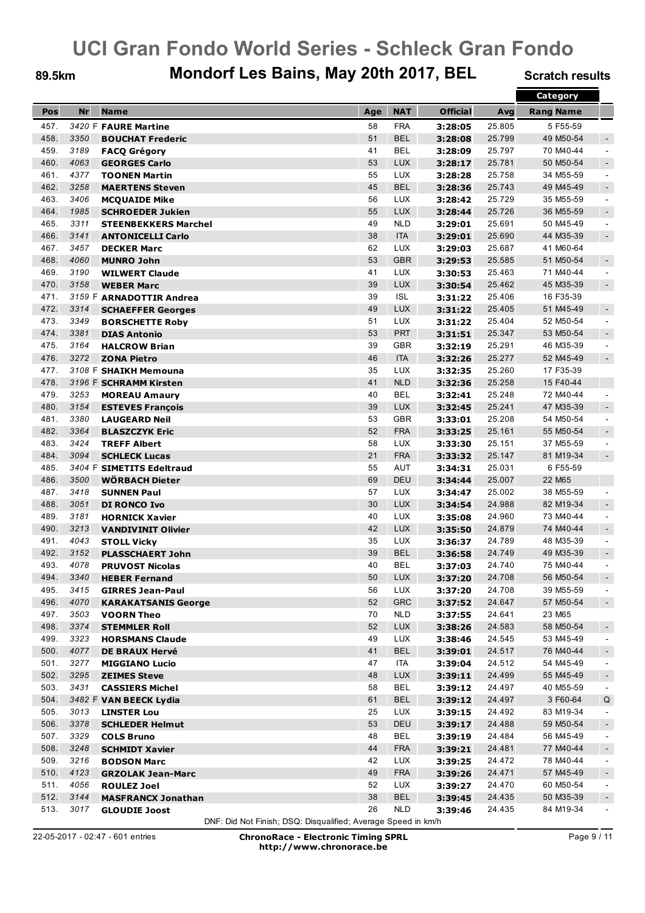### 89.5km Mondorf Les Bains, May 20th 2017, BEL Scratch results

|      |           |                             |          |            |                    |        | <b>Category</b>  |                          |
|------|-----------|-----------------------------|----------|------------|--------------------|--------|------------------|--------------------------|
| Pos  | <b>Nr</b> | <b>Name</b>                 | Age      | <b>NAT</b> | <b>Official</b>    | Avg    | <b>Rang Name</b> |                          |
| 457. |           | 3420 F FAURE Martine        | 58       | <b>FRA</b> | 3:28:05            | 25.805 | 5 F55-59         |                          |
| 458. | 3350      | <b>BOUCHAT Frederic</b>     | 51       | <b>BEL</b> | 3:28:08            | 25.799 | 49 M50-54        | $\blacksquare$           |
| 459. | 3189      |                             | 41       | <b>BEL</b> |                    | 25.797 | 70 M40-44        | $\blacksquare$           |
| 460. | 4063      | <b>FACQ Grégory</b>         |          | <b>LUX</b> | 3:28:09            |        | 50 M50-54        |                          |
|      |           | <b>GEORGES Carlo</b>        | 53       |            | 3:28:17            | 25.781 |                  | $\sim$                   |
| 461. | 4377      | <b>TOONEN Martin</b>        | 55       | <b>LUX</b> | 3:28:28            | 25.758 | 34 M55-59        | $\blacksquare$           |
| 462. | 3258      | <b>MAERTENS Steven</b>      | 45       | <b>BEL</b> | 3:28:36            | 25.743 | 49 M45-49        | $\sim$                   |
| 463. | 3406      | <b>MCQUAIDE Mike</b>        | 56       | <b>LUX</b> | 3:28:42            | 25.729 | 35 M55-59        | $\blacksquare$           |
| 464. | 1985      | <b>SCHROEDER Jukien</b>     | 55       | <b>LUX</b> | 3:28:44            | 25.726 | 36 M55-59        | $\blacksquare$           |
| 465. | 3311      | <b>STEENBEKKERS Marchel</b> | 49       | <b>NLD</b> | 3:29:01            | 25.691 | 50 M45-49        | $\blacksquare$           |
| 466. | 3141      | <b>ANTONICELLI Carlo</b>    | 38       | <b>ITA</b> | 3:29:01            | 25.690 | 44 M35-39        | $\sim$                   |
| 467. | 3457      | <b>DECKER Marc</b>          | 62       | <b>LUX</b> | 3:29:03            | 25.687 | 41 M60-64        |                          |
| 468. | 4060      | <b>MUNRO John</b>           | 53       | <b>GBR</b> | 3:29:53            | 25.585 | 51 M50-54        | $\blacksquare$           |
| 469. | 3190      | <b>WILWERT Claude</b>       | 41       | <b>LUX</b> | 3:30:53            | 25.463 | 71 M40-44        | $\blacksquare$           |
| 470. | 3158      | <b>WEBER Marc</b>           | 39       | <b>LUX</b> | 3:30:54            | 25.462 | 45 M35-39        | $\sim$                   |
| 471. |           | 3159 F ARNADOTTIR Andrea    | 39       | <b>ISL</b> | 3:31:22            | 25.406 | 16 F35-39        |                          |
| 472. | 3314      | <b>SCHAEFFER Georges</b>    | 49       | <b>LUX</b> | 3:31:22            | 25.405 | 51 M45-49        | $\overline{\phantom{a}}$ |
| 473. | 3349      | <b>BORSCHETTE Roby</b>      | 51       | <b>LUX</b> | 3:31:22            | 25.404 | 52 M50-54        | $\blacksquare$           |
| 474. | 3381      | <b>DIAS Antonio</b>         | 53       | <b>PRT</b> | 3:31:51            | 25.347 | 53 M50-54        | $\sim$                   |
| 475. | 3164      | <b>HALCROW Brian</b>        | 39       | <b>GBR</b> | 3:32:19            | 25.291 | 46 M35-39        | $\sim$                   |
| 476. | 3272      | <b>ZONA Pietro</b>          | 46       | <b>ITA</b> | 3:32:26            | 25.277 | 52 M45-49        | $\sim$                   |
| 477. |           | 3108 F SHAIKH Memouna       | 35       | <b>LUX</b> | 3:32:35            | 25.260 | 17 F35-39        |                          |
| 478. |           | 3196 F SCHRAMM Kirsten      | 41       | <b>NLD</b> | 3:32:36            | 25.258 | 15 F40-44        |                          |
| 479. | 3253      |                             | 40       | <b>BEL</b> |                    | 25.248 | 72 M40-44        | $\blacksquare$           |
|      |           | <b>MOREAU Amaury</b>        |          |            | 3:32:41            |        |                  |                          |
| 480. | 3154      | <b>ESTEVES François</b>     | 39       | <b>LUX</b> | 3:32:45            | 25.241 | 47 M35-39        | $\blacksquare$           |
| 481. | 3380      | <b>LAUGEARD Neil</b>        | 53       | <b>GBR</b> | 3:33:01            | 25.208 | 54 M50-54        | $\blacksquare$           |
| 482. | 3364      | <b>BLASZCZYK Eric</b>       | 52       | <b>FRA</b> | 3:33:25            | 25.161 | 55 M50-54        | $\sim$                   |
| 483. | 3424      | <b>TREFF Albert</b>         | 58       | <b>LUX</b> | 3:33:30            | 25.151 | 37 M55-59        | $\blacksquare$           |
| 484. | 3094      | <b>SCHLECK Lucas</b>        | 21       | <b>FRA</b> | 3:33:32            | 25.147 | 81 M19-34        | $\sim$                   |
| 485. |           | 3404 F SIMETITS Edeltraud   | 55       | <b>AUT</b> | 3:34:31            | 25.031 | 6 F55-59         |                          |
| 486. | 3500      | <b>WÖRBACH Dieter</b>       | 69       | <b>DEU</b> | 3:34:44            | 25.007 | 22 M65           |                          |
| 487. | 3418      | <b>SUNNEN Paul</b>          | 57       | <b>LUX</b> | 3:34:47            | 25.002 | 38 M55-59        | $\sim$                   |
| 488. | 3051      | <b>DI RONCO Ivo</b>         | 30       | <b>LUX</b> | 3:34:54            | 24.988 | 82 M19-34        | $\overline{\phantom{a}}$ |
| 489. | 3181      | <b>HORNICK Xavier</b>       | 40       | <b>LUX</b> | 3:35:08            | 24.960 | 73 M40-44        | $\blacksquare$           |
| 490. | 3213      | <b>VANDIVINIT Olivier</b>   | 42       | <b>LUX</b> | 3:35:50            | 24.879 | 74 M40-44        | $\sim$                   |
| 491. | 4043      | <b>STOLL Vicky</b>          | 35       | <b>LUX</b> | 3:36:37            | 24.789 | 48 M35-39        | $\sim$                   |
| 492. | 3152      | <b>PLASSCHAERT John</b>     | 39       | <b>BEL</b> | 3:36:58            | 24.749 | 49 M35-39        | $\sim$                   |
| 493. | 4078      | <b>PRUVOST Nicolas</b>      | 40       | <b>BEL</b> | 3:37:03            | 24.740 | 75 M40-44        | $\blacksquare$           |
| 494  | 3340      | <b>HEBER Fernand</b>        | 50       | <b>LUX</b> | 3:37:20            | 24.708 | 56 M50-54        | $\sim$                   |
| 495. | 3415      | <b>GIRRES Jean-Paul</b>     | 56       | LUX        | 3:37:20            | 24.708 | 39 M55-59        | $\sim$                   |
| 496. | 4070      | <b>KARAKATSANIS George</b>  | 52       | <b>GRC</b> | 3:37:52            | 24.647 | 57 M50-54        | $\blacksquare$           |
| 497. | 3503      | <b>VOORN Theo</b>           | 70       | <b>NLD</b> | 3:37:55            | 24.641 | 23 M65           |                          |
| 498. | 3374      | <b>STEMMLER Roll</b>        | 52       | <b>LUX</b> | 3:38:26            | 24.583 | 58 M50-54        | $\overline{\phantom{a}}$ |
| 499. | 3323      | <b>HORSMANS Claude</b>      | 49       | <b>LUX</b> | 3:38:46            | 24.545 | 53 M45-49        | $\sim$                   |
| 500. | 4077      | <b>DE BRAUX Hervé</b>       | 41       | <b>BEL</b> | 3:39:01            | 24.517 | 76 M40-44        | $\blacksquare$           |
| 501. | 3277      |                             |          | <b>ITA</b> |                    | 24.512 | 54 M45-49        |                          |
| 502. | 3295      | <b>MIGGIANO Lucio</b>       | 47<br>48 | <b>LUX</b> | 3:39:04<br>3:39:11 | 24.499 | 55 M45-49        | $\blacksquare$           |
|      |           | <b>ZEIMES Steve</b>         |          |            |                    |        |                  | $\blacksquare$           |
| 503. | 3431      | <b>CASSIERS Michel</b>      | 58       | <b>BEL</b> | 3:39:12            | 24.497 | 40 M55-59        | $\blacksquare$           |
| 504. |           | 3482 F VAN BEECK Lydia      | 61       | <b>BEL</b> | 3:39:12            | 24.497 | 3 F60-64         | Q                        |
| 505. | 3013      | <b>LINSTER Lou</b>          | 25       | <b>LUX</b> | 3:39:15            | 24.492 | 83 M19-34        | $\blacksquare$           |
| 506. | 3378      | <b>SCHLEDER Helmut</b>      | 53       | DEU        | 3:39:17            | 24.488 | 59 M50-54        | $\blacksquare$           |
| 507. | 3329      | <b>COLS Bruno</b>           | 48       | <b>BEL</b> | 3:39:19            | 24.484 | 56 M45-49        | $\sim$                   |
| 508. | 3248      | <b>SCHMIDT Xavier</b>       | 44       | <b>FRA</b> | 3:39:21            | 24.481 | 77 M40-44        | $\blacksquare$           |
| 509. | 3216      | <b>BODSON Marc</b>          | 42       | <b>LUX</b> | 3:39:25            | 24.472 | 78 M40-44        | $\blacksquare$           |
| 510. | 4123      | <b>GRZOLAK Jean-Marc</b>    | 49       | <b>FRA</b> | 3:39:26            | 24.471 | 57 M45-49        | $\blacksquare$           |
| 511. | 4056      | <b>ROULEZ Joel</b>          | 52       | <b>LUX</b> | 3:39:27            | 24.470 | 60 M50-54        | $\blacksquare$           |
| 512. | 3144      | <b>MASFRANCX Jonathan</b>   | 38       | <b>BEL</b> | 3:39:45            | 24.435 | 50 M35-39        | $\blacksquare$           |
| 513. | 3017      | <b>GLOUDIE Joost</b>        | 26       | <b>NLD</b> | 3:39:46            | 24.435 | 84 M19-34        | $\blacksquare$           |

DNF: Did Not Finish; DSQ: Disqualified; Average Speed in km/h

Page 9 / 11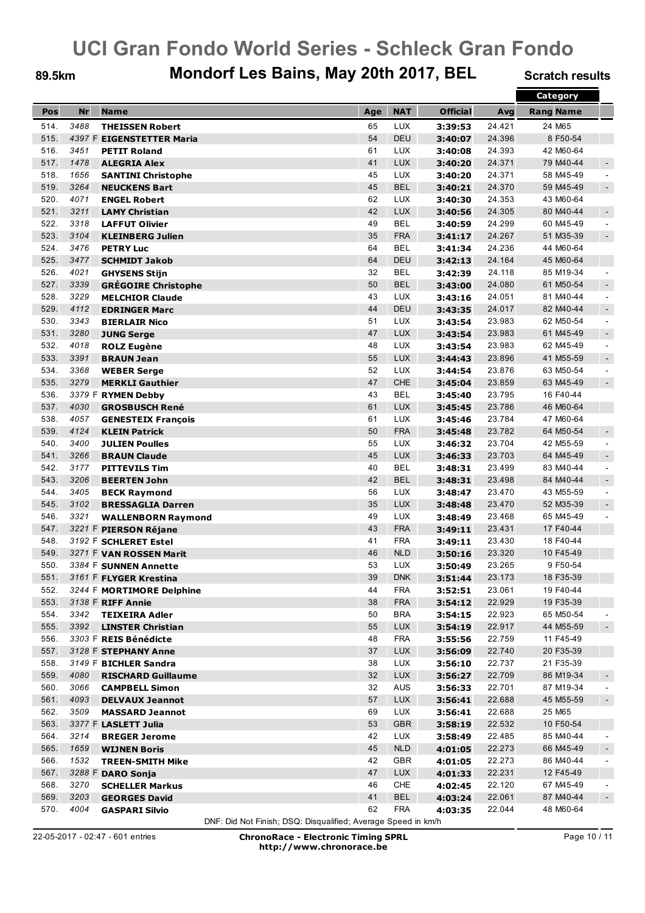### 89.5km Mondorf Les Bains, May 20th 2017, BEL Scratch results

|      |           |                            |     |            |                 |        | Category         |                |
|------|-----------|----------------------------|-----|------------|-----------------|--------|------------------|----------------|
| Pos  | <b>Nr</b> | <b>Name</b>                | Age | <b>NAT</b> | <b>Official</b> | Avg    | <b>Rang Name</b> |                |
| 514. | 3488      | <b>THEISSEN Robert</b>     | 65  | <b>LUX</b> | 3:39:53         | 24.421 | 24 M65           |                |
| 515. |           | 4397 F EIGENSTETTER Maria  | 54  | <b>DEU</b> | 3:40:07         | 24.396 | 8 F50-54         |                |
| 516. | 3451      |                            | 61  | <b>LUX</b> |                 | 24.393 | 42 M60-64        |                |
| 517. | 1478      | <b>PETIT Roland</b>        | 41  | <b>LUX</b> | 3:40:08         | 24.371 | 79 M40-44        |                |
|      |           | <b>ALEGRIA Alex</b>        |     |            | 3:40:20         |        |                  | $\sim$         |
| 518. | 1656      | <b>SANTINI Christophe</b>  | 45  | <b>LUX</b> | 3:40:20         | 24.371 | 58 M45-49        | $\blacksquare$ |
| 519. | 3264      | <b>NEUCKENS Bart</b>       | 45  | <b>BEL</b> | 3:40:21         | 24.370 | 59 M45-49        | $\sim$         |
| 520. | 4071      | <b>ENGEL Robert</b>        | 62  | <b>LUX</b> | 3:40:30         | 24.353 | 43 M60-64        |                |
| 521. | 3211      | <b>LAMY Christian</b>      | 42  | <b>LUX</b> | 3:40:56         | 24.305 | 80 M40-44        | $\blacksquare$ |
| 522. | 3318      | <b>LAFFUT Olivier</b>      | 49  | <b>BEL</b> | 3:40:59         | 24.299 | 60 M45-49        | $\blacksquare$ |
| 523. | 3104      | <b>KLEINBERG Julien</b>    | 35  | <b>FRA</b> | 3:41:17         | 24.267 | 51 M35-39        | $\sim$         |
| 524. | 3476      | <b>PETRY Luc</b>           | 64  | <b>BEL</b> | 3:41:34         | 24.236 | 44 M60-64        |                |
| 525. | 3477      | <b>SCHMIDT Jakob</b>       | 64  | <b>DEU</b> | 3:42:13         | 24.164 | 45 M60-64        |                |
| 526. | 4021      | <b>GHYSENS Stijn</b>       | 32  | <b>BEL</b> | 3:42:39         | 24.118 | 85 M19-34        | $\sim$         |
| 527. | 3339      | <b>GRÉGOIRE Christophe</b> | 50  | <b>BEL</b> | 3:43:00         | 24.080 | 61 M50-54        | $\sim$         |
| 528. | 3229      | <b>MELCHIOR Claude</b>     | 43  | <b>LUX</b> | 3:43:16         | 24.051 | 81 M40-44        | $\sim$         |
| 529. | 4112      | <b>EDRINGER Marc</b>       | 44  | <b>DEU</b> | 3:43:35         | 24.017 | 82 M40-44        | $\blacksquare$ |
| 530. | 3343      | <b>BIERLAIR Nico</b>       | 51  | <b>LUX</b> | 3:43:54         | 23.983 | 62 M50-54        | $\blacksquare$ |
| 531. | 3280      | <b>JUNG Serge</b>          | 47  | <b>LUX</b> | 3:43:54         | 23.983 | 61 M45-49        | $\sim$         |
| 532. | 4018      | <b>ROLZ Eugène</b>         | 48  | <b>LUX</b> | 3:43:54         | 23.983 | 62 M45-49        | $\blacksquare$ |
| 533. | 3391      | <b>BRAUN Jean</b>          | 55  | <b>LUX</b> | 3:44:43         | 23.896 | 41 M55-59        | $\sim$         |
| 534. | 3368      | <b>WEBER Serge</b>         | 52  | <b>LUX</b> | 3:44:54         | 23.876 | 63 M50-54        | $\blacksquare$ |
| 535. | 3279      | <b>MERKLI Gauthier</b>     | 47  | <b>CHE</b> | 3:45:04         | 23.859 | 63 M45-49        | $\sim$         |
| 536. |           | 3379 F RYMEN Debby         | 43  | <b>BEL</b> | 3:45:40         | 23.795 | 16 F40-44        |                |
| 537. | 4030      | <b>GROSBUSCH René</b>      | 61  | <b>LUX</b> | 3:45:45         | 23.786 | 46 M60-64        |                |
| 538. | 4057      |                            | 61  | <b>LUX</b> |                 |        | 47 M60-64        |                |
|      |           | <b>GENESTEIX François</b>  |     |            | 3:45:46         | 23.784 |                  |                |
| 539. | 4124      | <b>KLEIN Patrick</b>       | 50  | <b>FRA</b> | 3:45:48         | 23.782 | 64 M50-54        | $\sim$         |
| 540. | 3400      | <b>JULIEN Poulles</b>      | 55  | <b>LUX</b> | 3:46:32         | 23.704 | 42 M55-59        | $\blacksquare$ |
| 541. | 3266      | <b>BRAUN Claude</b>        | 45  | <b>LUX</b> | 3:46:33         | 23.703 | 64 M45-49        | $\sim$         |
| 542. | 3177      | <b>PITTEVILS Tim</b>       | 40  | <b>BEL</b> | 3:48:31         | 23.499 | 83 M40-44        | $\blacksquare$ |
| 543. | 3206      | <b>BEERTEN John</b>        | 42  | <b>BEL</b> | 3:48:31         | 23.498 | 84 M40-44        | $\sim$         |
| 544. | 3405      | <b>BECK Raymond</b>        | 56  | <b>LUX</b> | 3:48:47         | 23.470 | 43 M55-59        | $\sim$         |
| 545. | 3102      | <b>BRESSAGLIA Darren</b>   | 35  | <b>LUX</b> | 3:48:48         | 23.470 | 52 M35-39        | $\blacksquare$ |
| 546. | 3321      | <b>WALLENBORN Raymond</b>  | 49  | <b>LUX</b> | 3:48:49         | 23.468 | 65 M45-49        | $\blacksquare$ |
| 547. |           | 3221 F PIERSON Réjane      | 43  | <b>FRA</b> | 3:49:11         | 23.431 | 17 F40-44        |                |
| 548. |           | 3192 F SCHLERET Estel      | 41  | <b>FRA</b> | 3:49:11         | 23.430 | 18 F40-44        |                |
| 549. |           | 3271 F VAN ROSSEN Marit    | 46  | <b>NLD</b> | 3:50:16         | 23.320 | 10 F45-49        |                |
| 550. |           | 3384 F SUNNEN Annette      | 53  | <b>LUX</b> | 3:50:49         | 23.265 | 9 F50-54         |                |
| 551. |           | 3161 F FLYGER Krestina     | 39  | <b>DNK</b> | 3:51:44         | 23.173 | 18 F35-39        |                |
| 552. |           | 3244 F MORTIMORE Delphine  | 44  | <b>FRA</b> | 3:52:51         | 23.061 | 19 F40-44        |                |
| 553. |           | 3138 F RIFF Annie          | 38  | <b>FRA</b> | 3:54:12         | 22.929 | 19 F35-39        |                |
| 554. | 3342      | <b>TEIXEIRA Adler</b>      | 50  | <b>BRA</b> | 3:54:15         | 22.923 | 65 M50-54        |                |
| 555. | 3392      | <b>LINSTER Christian</b>   | 55  | <b>LUX</b> | 3:54:19         | 22.917 | 44 M55-59        | $\sim$         |
| 556. |           | 3303 F REIS Bénédicte      | 48  | <b>FRA</b> | 3:55:56         | 22.759 | 11 F45-49        |                |
| 557. |           | 3128 F STEPHANY Anne       | 37  | <b>LUX</b> | 3:56:09         | 22.740 | 20 F35-39        |                |
| 558. |           | 3149 F BICHLER Sandra      | 38  | <b>LUX</b> | 3:56:10         | 22.737 | 21 F35-39        |                |
| 559. | 4080      | <b>RISCHARD Guillaume</b>  | 32  | <b>LUX</b> | 3:56:27         | 22.709 | 86 M19-34        | $\blacksquare$ |
| 560. | 3066      | <b>CAMPBELL Simon</b>      | 32  | AUS        | 3:56:33         | 22.701 | 87 M19-34        | $\sim$         |
| 561. | 4093      | <b>DELVAUX Jeannot</b>     | 57  | <b>LUX</b> | 3:56:41         | 22.688 | 45 M55-59        | $\blacksquare$ |
| 562. | 3509      |                            | 69  | <b>LUX</b> | 3:56:41         | 22.688 | 25 M65           |                |
| 563. |           | <b>MASSARD Jeannot</b>     | 53  | <b>GBR</b> |                 | 22.532 | 10 F50-54        |                |
|      |           | 3377 F LASLETT Julia       |     |            | 3:58:19         |        |                  |                |
| 564. | 3214      | <b>BREGER Jerome</b>       | 42  | <b>LUX</b> | 3:58:49         | 22.485 | 85 M40-44        | $\blacksquare$ |
| 565. | 1659      | <b>WIJNEN Boris</b>        | 45  | <b>NLD</b> | 4:01:05         | 22.273 | 66 M45-49        | $\blacksquare$ |
| 566. | 1532      | <b>TREEN-SMITH Mike</b>    | 42  | GBR        | 4:01:05         | 22.273 | 86 M40-44        | $\blacksquare$ |
| 567. |           | 3288 F DARO Sonja          | 47  | <b>LUX</b> | 4:01:33         | 22.231 | 12 F45-49        |                |
| 568. | 3270      | <b>SCHELLER Markus</b>     | 46  | <b>CHE</b> | 4:02:45         | 22.120 | 67 M45-49        | $\sim$         |
| 569. | 3203      | <b>GEORGES David</b>       | 41  | <b>BEL</b> | 4:03:24         | 22.061 | 87 M40-44        | $\blacksquare$ |
| 570. | 4004      | <b>GASPARI Silvio</b>      | 62  | <b>FRA</b> | 4:03:35         | 22.044 | 48 M60-64        |                |